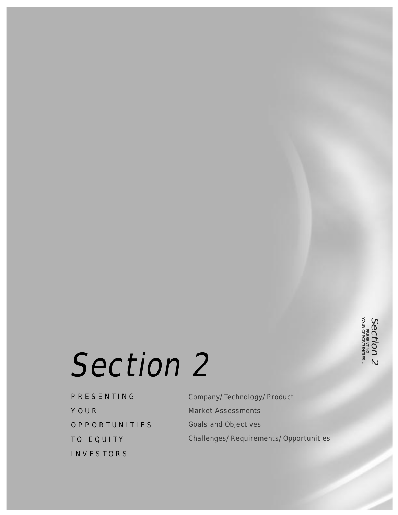

# Section 2

PRESENTING YOUR O P P O R T U N I T I E S TO EQUITY INVESTORS

Company/Technology/Product Market Assessments Goals and Objectives Challenges/Requirements/Opportunities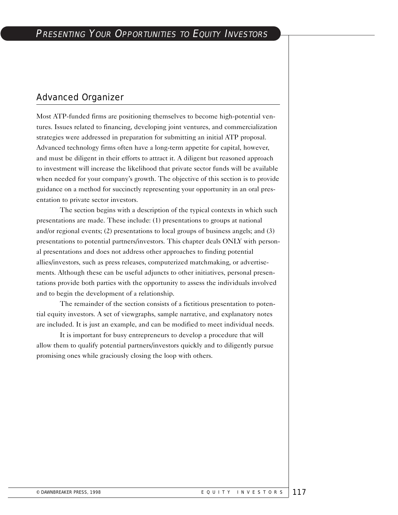#### Advanced Organizer

Most ATP-funded firms are positioning themselves to become high-potential ventures. Issues related to financing, developing joint ventures, and commercialization strategies were addressed in preparation for submitting an initial ATP proposal. Advanced technology firms often have a long-term appetite for capital, however, and must be diligent in their efforts to attract it. A diligent but reasoned approach to investment will increase the likelihood that private sector funds will be available when needed for your company's growth. The objective of this section is to provide guidance on a method for succinctly representing your opportunity in an oral presentation to private sector investors.

The section begins with a description of the typical contexts in which such presentations are made. These include: (1) presentations to groups at national and/or regional events; (2) presentations to local groups of business angels; and (3) presentations to potential partners/investors. This chapter deals ONLY with personal presentations and does not address other approaches to finding potential allies/investors, such as press releases, computerized matchmaking, or advertisements. Although these can be useful adjuncts to other initiatives, personal presentations provide both parties with the opportunity to assess the individuals involved and to begin the development of a relationship.

The remainder of the section consists of a fictitious presentation to potential equity investors. A set of viewgraphs, sample narrative, and explanatory notes are included. It is just an example, and can be modified to meet individual needs.

It is important for busy entrepreneurs to develop a procedure that will allow them to qualify potential partners/investors quickly and to diligently pursue promising ones while graciously closing the loop with others.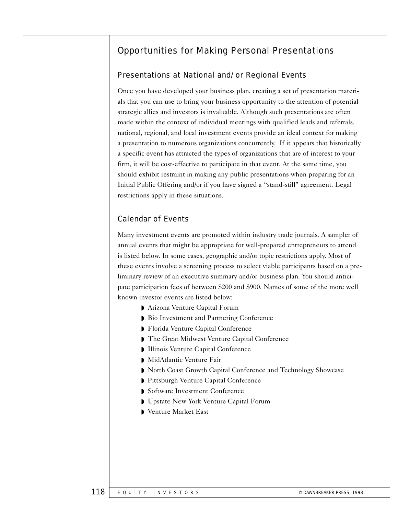#### Opportunities for Making Personal Presentations

#### Presentations at National and/or Regional Events

Once you have developed your business plan, creating a set of presentation materials that you can use to bring your business opportunity to the attention of potential strategic allies and investors is invaluable. Although such presentations are often made within the context of individual meetings with qualified leads and referrals, national, regional, and local investment events provide an ideal context for making a presentation to numerous organizations concurrently. If it appears that historically a specific event has attracted the types of organizations that are of interest to your firm, it will be cost-effective to participate in that event. At the same time, you should exhibit restraint in making any public presentations when preparing for an Initial Public Offering and/or if you have signed a "stand-still" agreement. Legal restrictions apply in these situations.

#### Calendar of Events

Many investment events are promoted within industry trade journals. A sampler of annual events that might be appropriate for well-prepared entrepreneurs to attend is listed below. In some cases, geographic and/or topic restrictions apply. Most of these events involve a screening process to select viable participants based on a preliminary review of an executive summary and/or business plan. You should anticipate participation fees of between \$200 and \$900. Names of some of the more well known investor events are listed below:

- ◗ Arizona Venture Capital Forum
- ◗ Bio Investment and Partnering Conference
- ◗ Florida Venture Capital Conference
- ◗ The Great Midwest Venture Capital Conference
- ◗ Illinois Venture Capital Conference
- ◗ MidAtlantic Venture Fair
- ◗ North Coast Growth Capital Conference and Technology Showcase
- ◗ Pittsburgh Venture Capital Conference
- ◗ Software Investment Conference
- ◗ Upstate New York Venture Capital Forum
- ◗ Venture Market East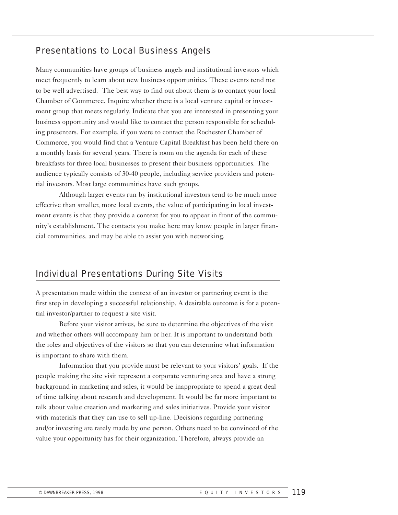#### Presentations to Local Business Angels

Many communities have groups of business angels and institutional investors which meet frequently to learn about new business opportunities. These events tend not to be well advertised. The best way to find out about them is to contact your local Chamber of Commerce. Inquire whether there is a local venture capital or investment group that meets regularly. Indicate that you are interested in presenting your business opportunity and would like to contact the person responsible for scheduling presenters. For example, if you were to contact the Rochester Chamber of Commerce, you would find that a Venture Capital Breakfast has been held there on a monthly basis for several years. There is room on the agenda for each of these breakfasts for three local businesses to present their business opportunities. The audience typically consists of 30-40 people, including service providers and potential investors. Most large communities have such groups.

Although larger events run by institutional investors tend to be much more effective than smaller, more local events, the value of participating in local investment events is that they provide a context for you to appear in front of the community's establishment. The contacts you make here may know people in larger financial communities, and may be able to assist you with networking.

#### Individual Presentations During Site Visits

A presentation made within the context of an investor or partnering event is the first step in developing a successful relationship. A desirable outcome is for a potential investor/partner to request a site visit.

Before your visitor arrives, be sure to determine the objectives of the visit and whether others will accompany him or her. It is important to understand both the roles and objectives of the visitors so that you can determine what information is important to share with them.

Information that you provide must be relevant to your visitors' goals. If the people making the site visit represent a corporate venturing area and have a strong background in marketing and sales, it would be inappropriate to spend a great deal of time talking about research and development. It would be far more important to talk about value creation and marketing and sales initiatives. Provide your visitor with materials that they can use to sell up-line. Decisions regarding partnering and/or investing are rarely made by one person. Others need to be convinced of the value your opportunity has for their organization. Therefore, always provide an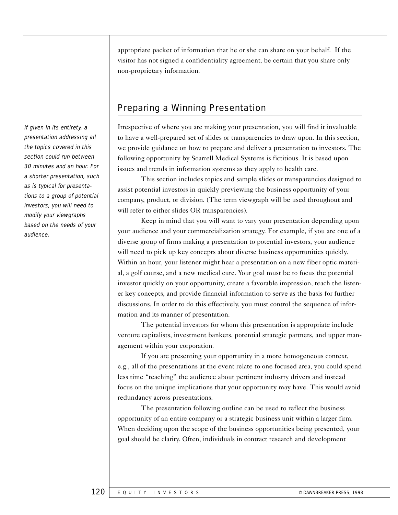appropriate packet of information that he or she can share on your behalf. If the visitor has not signed a confidentiality agreement, be certain that you share only non-proprietary information.

#### Preparing a Winning Presentation

Irrespective of where you are making your presentation, you will find it invaluable to have a well-prepared set of slides or transparencies to draw upon. In this section, we provide guidance on how to prepare and deliver a presentation to investors. The following opportunity by Soarrell Medical Systems is fictitious. It is based upon issues and trends in information systems as they apply to health care.

This section includes topics and sample slides or transparencies designed to assist potential investors in quickly previewing the business opportunity of your company, product, or division. (The term viewgraph will be used throughout and will refer to either slides OR transparencies).

Keep in mind that you will want to vary your presentation depending upon your audience and your commercialization strategy. For example, if you are one of a diverse group of firms making a presentation to potential investors, your audience will need to pick up key concepts about diverse business opportunities quickly. Within an hour, your listener might hear a presentation on a new fiber optic material, a golf course, and a new medical cure. Your goal must be to focus the potential investor quickly on your opportunity, create a favorable impression, teach the listener key concepts, and provide financial information to serve as the basis for further discussions. In order to do this effectively, you must control the sequence of information and its manner of presentation.

The potential investors for whom this presentation is appropriate include venture capitalists, investment bankers, potential strategic partners, and upper management within your corporation.

If you are presenting your opportunity in a more homogeneous context, e.g., all of the presentations at the event relate to one focused area, you could spend less time "teaching" the audience about pertinent industry drivers and instead focus on the unique implications that your opportunity may have. This would avoid redundancy across presentations.

The presentation following outline can be used to reflect the business opportunity of an entire company or a strategic business unit within a larger firm. When deciding upon the scope of the business opportunities being presented, your goal should be clarity. Often, individuals in contract research and development

If given in its entirety, a presentation addressing all the topics covered in this section could run between 30 minutes and an hour. For a shorter presentation, such as is typical for presentations to a group of potential investors, you will need to modify your viewgraphs based on the needs of your audience.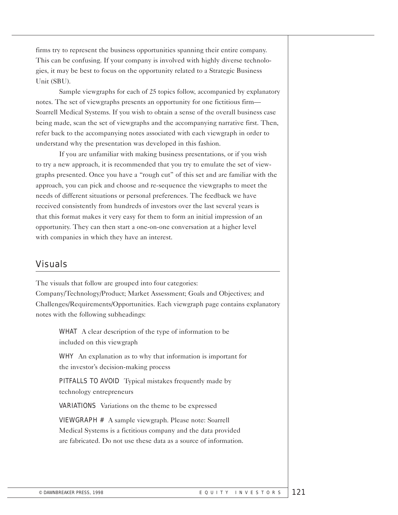firms try to represent the business opportunities spanning their entire company. This can be confusing. If your company is involved with highly diverse technologies, it may be best to focus on the opportunity related to a Strategic Business Unit (SBU).

Sample viewgraphs for each of 25 topics follow, accompanied by explanatory notes. The set of viewgraphs presents an opportunity for one fictitious firm— Soarrell Medical Systems. If you wish to obtain a sense of the overall business case being made, scan the set of viewgraphs and the accompanying narrative first. Then, refer back to the accompanying notes associated with each viewgraph in order to understand why the presentation was developed in this fashion.

If you are unfamiliar with making business presentations, or if you wish to try a new approach, it is recommended that you try to emulate the set of viewgraphs presented. Once you have a "rough cut" of this set and are familiar with the approach, you can pick and choose and re-sequence the viewgraphs to meet the needs of different situations or personal preferences. The feedback we have received consistently from hundreds of investors over the last several years is that this format makes it very easy for them to form an initial impression of an opportunity. They can then start a one-on-one conversation at a higher level with companies in which they have an interest.

#### Visuals

The visuals that follow are grouped into four categories:

Company/Technology/Product; Market Assessment; Goals and Objectives; and Challenges/Requirements/Opportunities. Each viewgraph page contains explanatory notes with the following subheadings:

WHAT A clear description of the type of information to be included on this viewgraph

WHY An explanation as to why that information is important for the investor's decision-making process

PITFALLS TO AVOID Typical mistakes frequently made by technology entrepreneurs

VARIATIONS Variations on the theme to be expressed

VIEWGRAPH # A sample viewgraph. Please note: Soarrell Medical Systems is a fictitious company and the data provided are fabricated. Do not use these data as a source of information.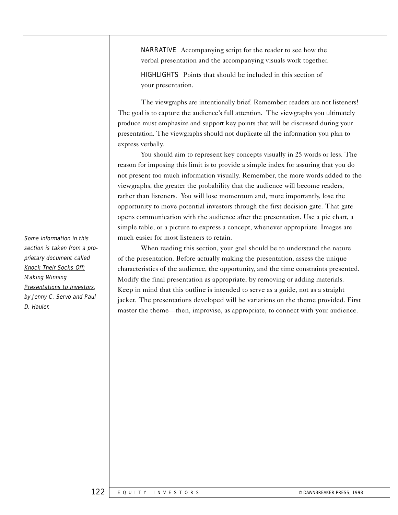NARRATIVE Accompanying script for the reader to see how the verbal presentation and the accompanying visuals work together.

HIGHLIGHTS Points that should be included in this section of your presentation.

The viewgraphs are intentionally brief. Remember: readers are not listeners! The goal is to capture the audience's full attention. The viewgraphs you ultimately produce must emphasize and support key points that will be discussed during your presentation. The viewgraphs should not duplicate all the information you plan to express verbally.

You should aim to represent key concepts visually in 25 words or less. The reason for imposing this limit is to provide a simple index for assuring that you do not present too much information visually. Remember, the more words added to the viewgraphs, the greater the probability that the audience will become readers, rather than listeners. You will lose momentum and, more importantly, lose the opportunity to move potential investors through the first decision gate. That gate opens communication with the audience after the presentation. Use a pie chart, a simple table, or a picture to express a concept, whenever appropriate. Images are much easier for most listeners to retain.

When reading this section, your goal should be to understand the nature of the presentation. Before actually making the presentation, assess the unique characteristics of the audience, the opportunity, and the time constraints presented. Modify the final presentation as appropriate, by removing or adding materials. Keep in mind that this outline is intended to serve as a guide, not as a straight jacket. The presentations developed will be variations on the theme provided. First master the theme—then, improvise, as appropriate, to connect with your audience.

Some information in this section is taken from a proprietary document called Knock Their Socks Off: Making Winning Presentations to Investors, by Jenny C. Servo and Paul D. Hauler.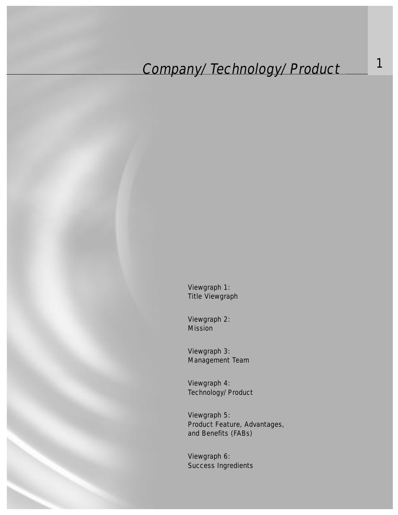Company/Technology/Product 1

Viewgraph 1: Title Viewgraph

Viewgraph 2: Mission

Viewgraph 3: Management Team

Viewgraph 4: Technology/Product

Viewgraph 5: Product Feature, Advantages, and Benefits (FABs)

Viewgraph 6: Success Ingredients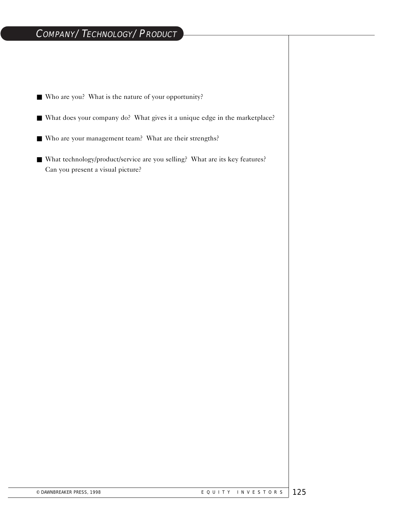## COMPANY/TECHNOLOGY/PRODUCT

- Who are you? What is the nature of your opportunity?
- What does your company do? What gives it a unique edge in the marketplace?
- Who are your management team? What are their strengths?
- What technology/product/service are you selling? What are its key features? Can you present a visual picture?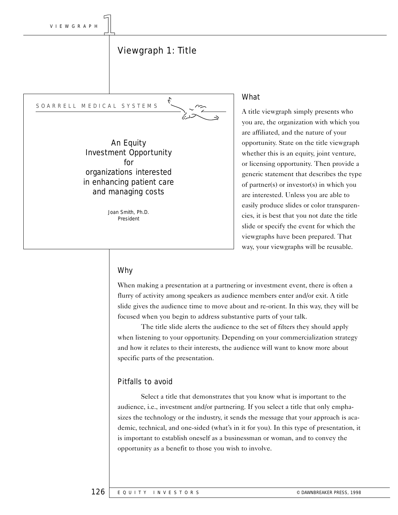#### Viewgraph 1: Title



An Equity Investment Opportunity for organizations interested in enhancing patient care and managing costs

> Joan Smith, Ph.D. President

#### What

A title viewgraph simply presents who you are, the organization with which you are affiliated, and the nature of your opportunity. State on the title viewgraph whether this is an equity, joint venture, or licensing opportunity. Then provide a generic statement that describes the type of partner(s) or investor(s) in which you are interested. Unless you are able to easily produce slides or color transparencies, it is best that you not date the title slide or specify the event for which the viewgraphs have been prepared. That way, your viewgraphs will be reusable.

#### Why

When making a presentation at a partnering or investment event, there is often a flurry of activity among speakers as audience members enter and/or exit. A title slide gives the audience time to move about and re-orient. In this way, they will be focused when you begin to address substantive parts of your talk.

The title slide alerts the audience to the set of filters they should apply when listening to your opportunity. Depending on your commercialization strategy and how it relates to their interests, the audience will want to know more about specific parts of the presentation.

#### Pitfalls to avoid

Select a title that demonstrates that you know what is important to the audience, i.e., investment and/or partnering. If you select a title that only emphasizes the technology or the industry, it sends the message that your approach is academic, technical, and one-sided (what's in it for you). In this type of presentation, it is important to establish oneself as a businessman or woman, and to convey the opportunity as a benefit to those you wish to involve.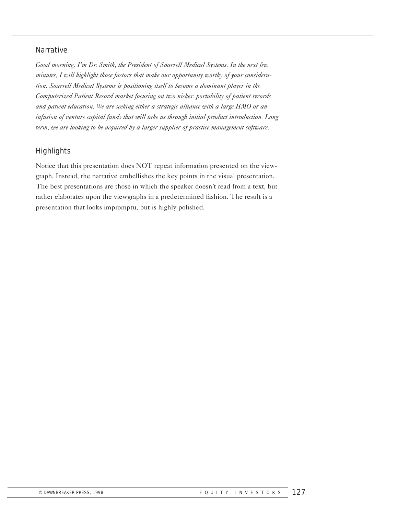#### **Narrative**

*Good morning. I'm Dr. Smith, the President of Soarrell Medical Systems. In the next few minutes, I will highlight those factors that make our opportunity worthy of your consideration. Soarrell Medical Systems is positioning itself to become a dominant player in the Computerized Patient Record market focusing on two niches: portability of patient records and patient education. We are seeking either a strategic alliance with a large HMO or an infusion of venture capital funds that will take us through initial product introduction. Long term, we are looking to be acquired by a larger supplier of practice management software.* 

#### **Highlights**

Notice that this presentation does NOT repeat information presented on the viewgraph. Instead, the narrative embellishes the key points in the visual presentation. The best presentations are those in which the speaker doesn't read from a text, but rather elaborates upon the viewgraphs in a predetermined fashion. The result is a presentation that looks impromptu, but is highly polished.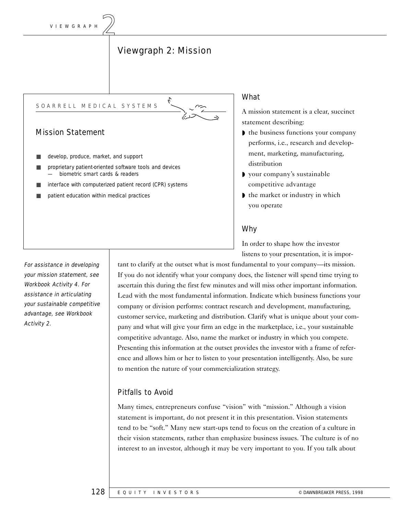#### Viewgraph 2: Mission

SOARRELL MEDICAL SYSTEMS

#### Mission Statement

- develop, produce, market, and support
- proprietary patient-oriented software tools and devices biometric smart cards & readers
- interface with computerized patient record (CPR) systems
- patient education within medical practices

#### **What**

A mission statement is a clear, succinct statement describing:

- ◗ the business functions your company performs, i.e., research and development, marketing, manufacturing, distribution
- ◗ your company's sustainable competitive advantage
- ◗ the market or industry in which you operate

#### Why

In order to shape how the investor listens to your presentation, it is impor-

For assistance in developing your mission statement, see Workbook Activity 4. For assistance in articulating your sustainable competitive advantage, see Workbook Activity 2.

tant to clarify at the outset what is most fundamental to your company—its mission. If you do not identify what your company does, the listener will spend time trying to ascertain this during the first few minutes and will miss other important information. Lead with the most fundamental information. Indicate which business functions your company or division performs: contract research and development, manufacturing, customer service, marketing and distribution. Clarify what is unique about your company and what will give your firm an edge in the marketplace, i.e., your sustainable competitive advantage. Also, name the market or industry in which you compete. Presenting this information at the outset provides the investor with a frame of reference and allows him or her to listen to your presentation intelligently. Also, be sure to mention the nature of your commercialization strategy.

#### Pitfalls to Avoid

Many times, entrepreneurs confuse "vision" with "mission." Although a vision statement is important, do not present it in this presentation. Vision statements tend to be "soft." Many new start-ups tend to focus on the creation of a culture in their vision statements, rather than emphasize business issues. The culture is of no interest to an investor, although it may be very important to you. If you talk about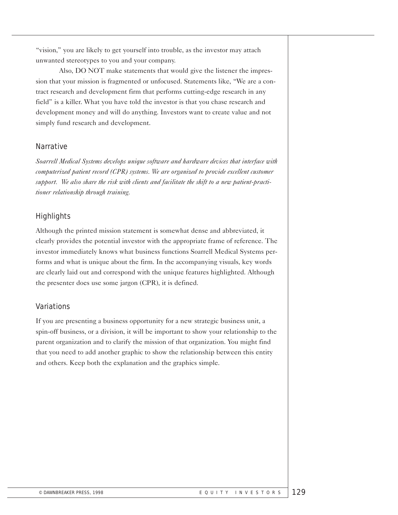"vision," you are likely to get yourself into trouble, as the investor may attach unwanted stereotypes to you and your company.

Also, DO NOT make statements that would give the listener the impression that your mission is fragmented or unfocused. Statements like, "We are a contract research and development firm that performs cutting-edge research in any field" is a killer. What you have told the investor is that you chase research and development money and will do anything. Investors want to create value and not simply fund research and development.

#### **Narrative**

*Soarrell Medical Systems develops unique software and hardware devices that interface with computerized patient record (CPR) systems. We are organized to provide excellent customer support. We also share the risk with clients and facilitate the shift to a new patient-practitioner relationship through training.* 

#### **Highlights**

Although the printed mission statement is somewhat dense and abbreviated, it clearly provides the potential investor with the appropriate frame of reference. The investor immediately knows what business functions Soarrell Medical Systems performs and what is unique about the firm. In the accompanying visuals, key words are clearly laid out and correspond with the unique features highlighted. Although the presenter does use some jargon (CPR), it is defined.

#### **Variations**

If you are presenting a business opportunity for a new strategic business unit, a spin-off business, or a division, it will be important to show your relationship to the parent organization and to clarify the mission of that organization. You might find that you need to add another graphic to show the relationship between this entity and others. Keep both the explanation and the graphics simple.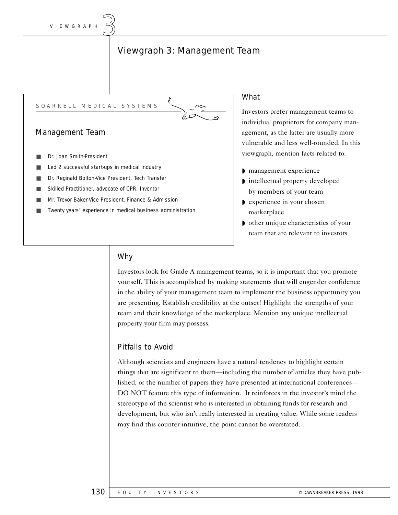#### Viewgraph 3: Management Team

SOARRELL MEDICAL SYSTEMS

#### Management Team

- Dr. Joan Smith-President
- Led 2 successful start-ups in medical industry
- Dr. Reginald Bolton-Vice President, Tech Transfer
- Skilled Practitioner, advocate of CPR, Inventor
- Mr. Trevor Baker-Vice President, Finance & Admission
- Twenty years' experience in medical business administration

#### **What**

Investors prefer management teams to individual proprietors for company management, as the latter are usually more vulnerable and less well-rounded. In this viewgraph, mention facts related to:

- ◗ management experience
- intellectual property developed by members of your team
- **D** experience in your chosen marketplace
- other unique characteristics of your team that are relevant to investors

#### Why

Investors look for Grade A management teams, so it is important that you promote yourself. This is accomplished by making statements that will engender confidence in the ability of your management team to implement the business opportunity you are presenting. Establish credibility at the outset! Highlight the strengths of your team and their knowledge of the marketplace. Mention any unique intellectual property your firm may possess.

#### Pitfalls to Avoid

Although scientists and engineers have a natural tendency to highlight certain things that are significant to them—including the number of articles they have published, or the number of papers they have presented at international conferences— DO NOT feature this type of information. It reinforces in the investor's mind the stereotype of the scientist who is interested in obtaining funds for research and development, but who isn't really interested in creating value. While some readers may find this counter-intuitive, the point cannot be overstated.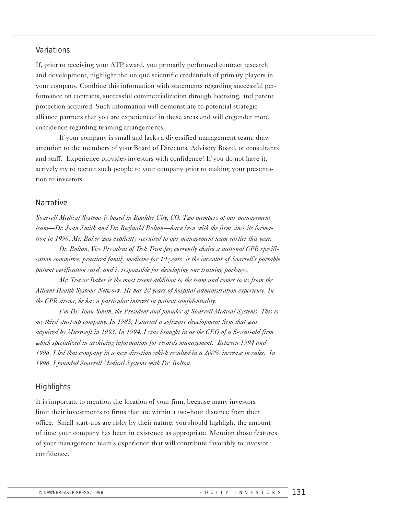#### **Variations**

If, prior to receiving your ATP award, you primarily performed contract research and development, highlight the unique scientific credentials of primary players in your company. Combine this information with statements regarding successful performance on contracts, successful commercialization through licensing, and patent protection acquired. Such information will demonstrate to potential strategic alliance partners that you are experienced in these areas and will engender more confidence regarding teaming arrangements.

If your company is small and lacks a diversified management team, draw attention to the members of your Board of Directors, Advisory Board, or consultants and staff. Experience provides investors with confidence! If you do not have it, actively try to recruit such people to your company prior to making your presentation to investors.

#### **Narrative**

*Soarrell Medical Systems is based in Boulder City, CO. Two members of our management team—Dr. Joan Smith and Dr. Reginald Bolton—have been with the firm since its formation in 1996. Mr. Baker was explicitly recruited to our management team earlier this year.* 

*Dr. Bolton, Vice President of Tech Transfer, currently chairs a national CPR specification committee, practiced family medicine for 10 years, is the inventor of Soarrell's portable patient verification card, and is responsible for developing our training packages.* 

*Mr. Trevor Baker is the most recent addition to the team and comes to us from the Alliant Health Systems Network. He has 20 years of hospital administration experience. In the CPR arena, he has a particular interest in patient confidentiality.* 

*I'm Dr. Joan Smith, the President and founder of Soarrell Medical Systems. This is my third start-up company. In 1988, I started a software development firm that was acquired by Microsoft in 1993. In 1994, I was brought in as the CEO of a 5-year-old firm which specialized in archiving information for records management. Between 1994 and 1996, I led that company in a new direction which resulted in a 200% increase in sales. In 1996, I founded Soarrell Medical Systems with Dr. Bolton.* 

#### **Highlights**

It is important to mention the location of your firm, because many investors limit their investments to firms that are within a two-hour distance from their office. Small start-ups are risky by their nature; you should highlight the amount of time your company has been in existence as appropriate. Mention those features of your management team's experience that will contribute favorably to investor confidence.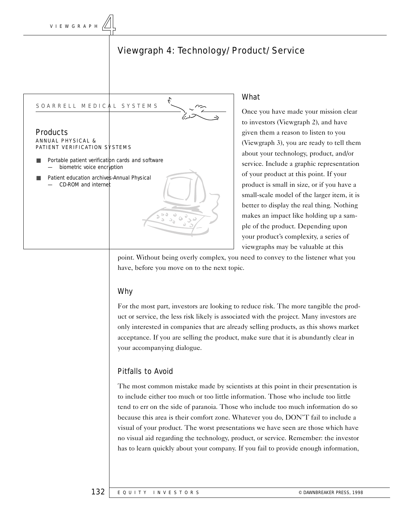#### Viewgraph 4: Technology/Product/Service



#### **What**

Once you have made your mission clear to investors (Viewgraph 2), and have given them a reason to listen to you (Viewgraph 3), you are ready to tell them about your technology, product, and/or service. Include a graphic representation of your product at this point. If your product is small in size, or if you have a small-scale model of the larger item, it is better to display the real thing. Nothing makes an impact like holding up a sample of the product. Depending upon your product's complexity, a series of viewgraphs may be valuable at this

point. Without being overly complex, you need to convey to the listener what you have, before you move on to the next topic.

#### Why

For the most part, investors are looking to reduce risk. The more tangible the product or service, the less risk likely is associated with the project. Many investors are only interested in companies that are already selling products, as this shows market acceptance. If you are selling the product, make sure that it is abundantly clear in your accompanying dialogue.

#### Pitfalls to Avoid

The most common mistake made by scientists at this point in their presentation is to include either too much or too little information. Those who include too little tend to err on the side of paranoia. Those who include too much information do so because this area is their comfort zone. Whatever you do, DON'T fail to include a visual of your product. The worst presentations we have seen are those which have no visual aid regarding the technology, product, or service. Remember: the investor has to learn quickly about your company. If you fail to provide enough information,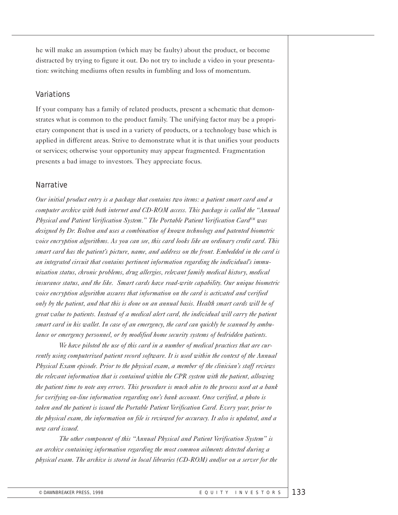he will make an assumption (which may be faulty) about the product, or become distracted by trying to figure it out. Do not try to include a video in your presentation: switching mediums often results in fumbling and loss of momentum.

#### **Variations**

If your company has a family of related products, present a schematic that demonstrates what is common to the product family. The unifying factor may be a proprietary component that is used in a variety of products, or a technology base which is applied in different areas. Strive to demonstrate what it is that unifies your products or services; otherwise your opportunity may appear fragmented. Fragmentation presents a bad image to investors. They appreciate focus.

#### **Narrative**

*Our initial product entry is a package that contains two items: a patient smart card and a computer archive with both internet and CD-ROM access. This package is called the "Annual Physical and Patient Verification System." The Portable Patient Verification CardTM was designed by Dr. Bolton and uses a combination of known technology and patented biometric voice encryption algorithms. As you can see, this card looks like an ordinary credit card. This smart card has the patient's picture, name, and address on the front. Embedded in the card is an integrated circuit that contains pertinent information regarding the individual's immunization status, chronic problems, drug allergies, relevant family medical history, medical insurance status, and the like. Smart cards have read-write capability. Our unique biometric voice encryption algorithm assures that information on the card is activated and verified only by the patient, and that this is done on an annual basis. Health smart cards will be of great value to patients. Instead of a medical alert card, the individual will carry the patient smart card in his wallet. In case of an emergency, the card can quickly be scanned by ambulance or emergency personnel, or by modified home security systems of bedridden patients.* 

*We have piloted the use of this card in a number of medical practices that are currently using computerized patient record software. It is used within the context of the Annual Physical Exam episode. Prior to the physical exam, a member of the clinician's staff reviews the relevant information that is contained within the CPR system with the patient, allowing the patient time to note any errors. This procedure is much akin to the process used at a bank for verifying on-line information regarding one's bank account. Once verified, a photo is taken and the patient is issued the Portable Patient Verification Card. Every year, prior to the physical exam, the information on file is reviewed for accuracy. It also is updated, and a new card issued.* 

*The other component of this "Annual Physical and Patient Verification System" is an archive containing information regarding the most common ailments detected during a physical exam. The archive is stored in local libraries (CD-ROM) and/or on a server for the*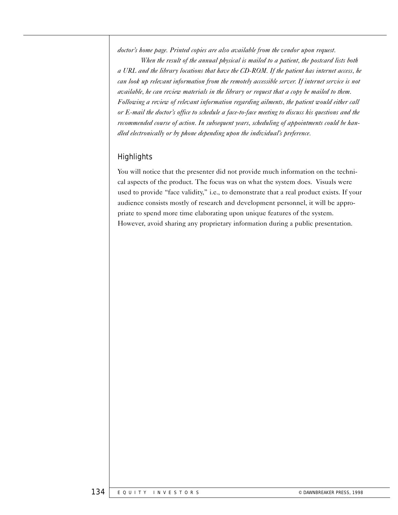*doctor's home page. Printed copies are also available from the vendor upon request.* 

*When the result of the annual physical is mailed to a patient, the postcard lists both a URL and the library locations that have the CD-ROM. If the patient has internet access, he can look up relevant information from the remotely accessible server. If internet service is not available, he can review materials in the library or request that a copy be mailed to them. Following a review of relevant information regarding ailments, the patient would either call or E-mail the doctor's office to schedule a face-to-face meeting to discuss his questions and the recommended course of action. In subsequent years, scheduling of appointments could be handled electronically or by phone depending upon the individual's preference.* 

#### **Highlights**

You will notice that the presenter did not provide much information on the technical aspects of the product. The focus was on what the system does. Visuals were used to provide "face validity," i.e., to demonstrate that a real product exists. If your audience consists mostly of research and development personnel, it will be appropriate to spend more time elaborating upon unique features of the system. However, avoid sharing any proprietary information during a public presentation.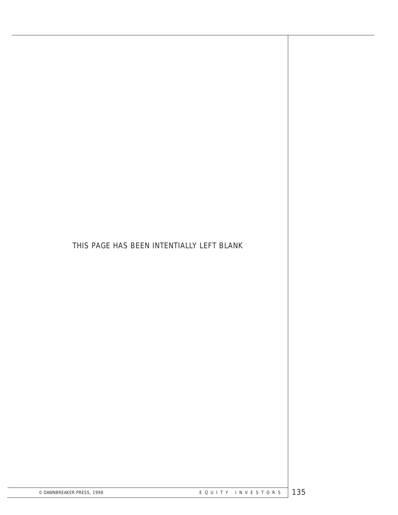#### THIS PAGE HAS BEEN INTENTIALLY LEFT BLANK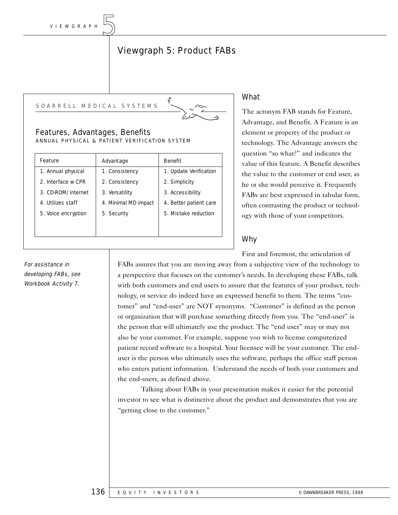#### Viewgraph 5: Product FABs

#### SOARRELL MEDICAL SYSTEMS



| Feature             | Advantage            | <b>Benefit</b>         |  |  |
|---------------------|----------------------|------------------------|--|--|
| 1. Annual physical  | 1. Consistency       | 1. Update Verification |  |  |
| 2. Interface w CPR  | 2. Consistency       | 2. Simplicity          |  |  |
| 3. CD-ROM/internet  | 3. Versatility       | 3. Accessibility       |  |  |
| 4. Utilizes staff   | 4. Minimal MD impact | 4. Better patient care |  |  |
| 5. Voice encryption | 5. Security          | 5. Mistake reduction   |  |  |
|                     |                      |                        |  |  |
|                     |                      |                        |  |  |

#### What

The acronym FAB stands for Feature, Advantage, and Benefit. A Feature is an element or property of the product or technology. The Advantage answers the question "so what?" and indicates the value of this feature. A Benefit describes the value to the customer or end user, as he or she would perceive it. Frequently FABs are best expressed in tabular form, often contrasting the product or technology with those of your competitors.

First and foremost, the articulation of

#### Why

For assistance in developing FABs, see Workbook Activity 7.

FABs assures that you are moving away from a subjective view of the technology to a perspective that focuses on the customer's needs. In developing these FABs, talk with both customers and end users to assure that the features of your product, technology, or service do indeed have an expressed benefit to them. The terms "customer" and "end-user" are NOT synonyms. "Customer" is defined as the person or organization that will purchase something directly from you. The "end-user" is the person that will ultimately use the product. The "end user" may or may not also be your customer. For example, suppose you wish to license computerized patient record software to a hospital. Your licensee will be your customer. The enduser is the person who ultimately uses the software, perhaps the office staff person who enters patient information. Understand the needs of both your customers and the end-users, as defined above.

Talking about FABs in your presentation makes it easier for the potential investor to see what is distinctive about the product and demonstrates that you are "getting close to the customer."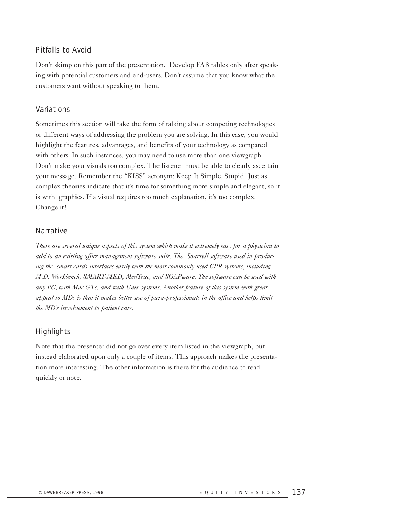#### Pitfalls to Avoid

Don't skimp on this part of the presentation. Develop FAB tables only after speaking with potential customers and end-users. Don't assume that you know what the customers want without speaking to them.

#### **Variations**

Sometimes this section will take the form of talking about competing technologies or different ways of addressing the problem you are solving. In this case, you would highlight the features, advantages, and benefits of your technology as compared with others. In such instances, you may need to use more than one viewgraph. Don't make your visuals too complex. The listener must be able to clearly ascertain your message. Remember the "KISS" acronym: Keep It Simple, Stupid! Just as complex theories indicate that it's time for something more simple and elegant, so it is with graphics. If a visual requires too much explanation, it's too complex. Change it!

#### **Narrative**

*There are several unique aspects of this system which make it extremely easy for a physician to add to an existing office management software suite. The Soarrell software used in producing the smart cards interfaces easily with the most commonly used CPR systems, including M.D. Workbench, SMART-MED, MedTrac, and SOAPware. The software can be used with any PC, with Mac G3's, and with Unix systems. Another feature of this system with great appeal to MDs is that it makes better use of para-professionals in the office and helps limit the MD's involvement to patient care.* 

#### **Highlights**

Note that the presenter did not go over every item listed in the viewgraph, but instead elaborated upon only a couple of items. This approach makes the presentation more interesting. The other information is there for the audience to read quickly or note.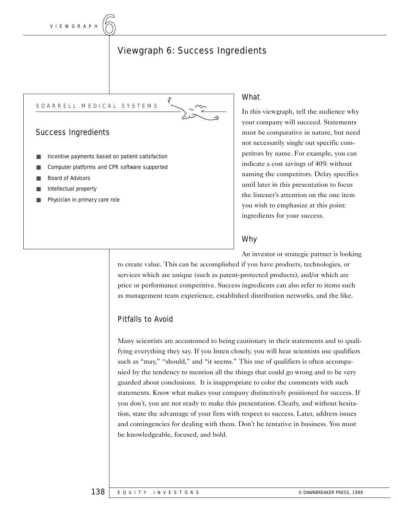#### Viewgraph 6: Success Ingredients



#### Success Ingredients

- Incentive payments based on patient satisfaction
- Computer platforms and CPR software supported
- Board of Advisors
- Intellectual property
- Physician in primary care role

#### **What**

In this viewgraph, tell the audience why your company will succeed. Statements must be comparative in nature, but need not necessarily single out specific competitors by name. For example, you can indicate a cost savings of 40% without naming the competitors. Delay specifics until later in this presentation to focus the listener's attention on the one item you wish to emphasize at this point: ingredients for your success.

#### Why

An investor or strategic partner is looking

to create value. This can be accomplished if you have products, technologies, or services which are unique (such as patent-protected products), and/or which are price or performance competitive. Success ingredients can also refer to items such as management team experience, established distribution networks, and the like.

#### Pitfalls to Avoid

Many scientists are accustomed to being cautionary in their statements and to qualifying everything they say. If you listen closely, you will hear scientists use qualifiers such as "may," "should," and "it seems." This use of qualifiers is often accompanied by the tendency to mention all the things that could go wrong and to be very guarded about conclusions. It is inappropriate to color the comments with such statements. Know what makes your company distinctively positioned for success. If you don't, you are not ready to make this presentation. Clearly, and without hesitation, state the advantage of your firm with respect to success. Later, address issues and contingencies for dealing with them. Don't be tentative in business. You must be knowledgeable, focused, and bold.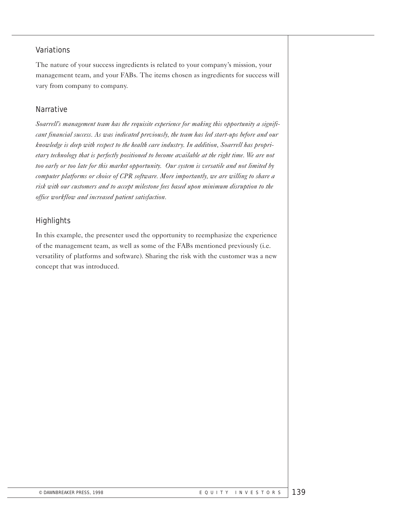#### **Variations**

The nature of your success ingredients is related to your company's mission, your management team, and your FABs. The items chosen as ingredients for success will vary from company to company.

#### **Narrative**

*Soarrell's management team has the requisite experience for making this opportunity a significant financial success. As was indicated previously, the team has led start-ups before and our knowledge is deep with respect to the health care industry. In addition, Soarrell has proprietary technology that is perfectly positioned to become available at the right time. We are not too early or too late for this market opportunity. Our system is versatile and not limited by computer platforms or choice of CPR software. More importantly, we are willing to share a risk with our customers and to accept milestone fees based upon minimum disruption to the office workflow and increased patient satisfaction.* 

#### **Highlights**

In this example, the presenter used the opportunity to reemphasize the experience of the management team, as well as some of the FABs mentioned previously (i.e. versatility of platforms and software). Sharing the risk with the customer was a new concept that was introduced.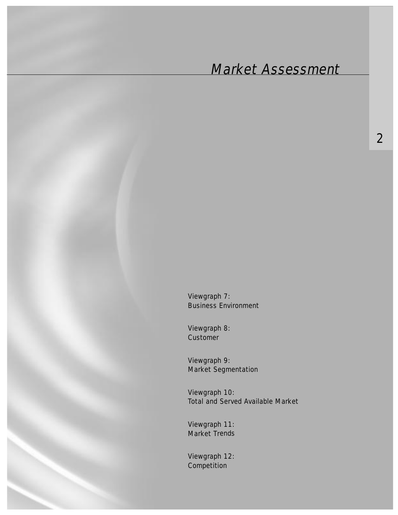## Market Assessment

Viewgraph 7: Business Environment

Viewgraph 8: **Customer** 

Viewgraph 9: Market Segmentation

Viewgraph 10: Total and Served Available Market

Viewgraph 11: Market Trends

Viewgraph 12: Competition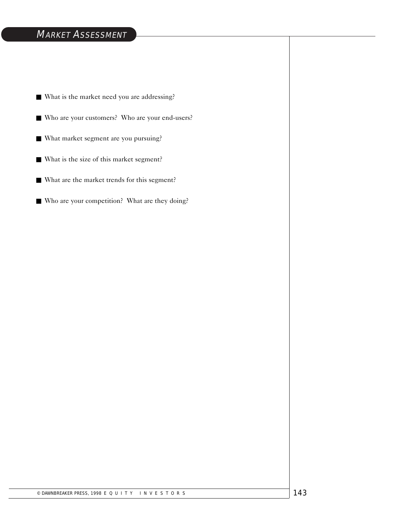## **MARKET ASSESSMENT**

- What is the market need you are addressing?
- Who are your customers? Who are your end-users?
- What market segment are you pursuing?
- What is the size of this market segment?
- What are the market trends for this segment?
- Who are your competition? What are they doing?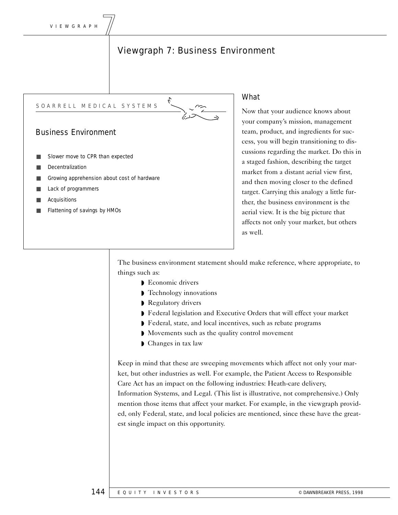#### Viewgraph 7: Business Environment



#### **What**

Now that your audience knows about your company's mission, management team, product, and ingredients for success, you will begin transitioning to discussions regarding the market. Do this in a staged fashion, describing the target market from a distant aerial view first, and then moving closer to the defined target. Carrying this analogy a little further, the business environment is the aerial view. It is the big picture that affects not only your market, but others as well.

The business environment statement should make reference, where appropriate, to things such as:

- Economic drivers
- ◗ Technology innovations
- ◗ Regulatory drivers
- ◗ Federal legislation and Executive Orders that will effect your market
- ◗ Federal, state, and local incentives, such as rebate programs
- ◗ Movements such as the quality control movement
- ◗ Changes in tax law

Keep in mind that these are sweeping movements which affect not only your market, but other industries as well. For example, the Patient Access to Responsible Care Act has an impact on the following industries: Heath-care delivery, Information Systems, and Legal. (This list is illustrative, not comprehensive.) Only mention those items that affect your market. For example, in the viewgraph provided, only Federal, state, and local policies are mentioned, since these have the greatest single impact on this opportunity.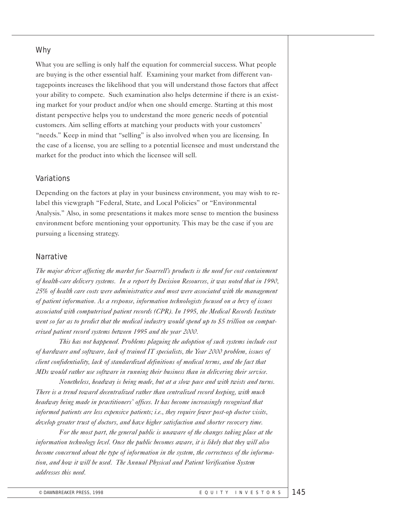#### Why

What you are selling is only half the equation for commercial success. What people are buying is the other essential half. Examining your market from different vantagepoints increases the likelihood that you will understand those factors that affect your ability to compete. Such examination also helps determine if there is an existing market for your product and/or when one should emerge. Starting at this most distant perspective helps you to understand the more generic needs of potential customers. Aim selling efforts at matching your products with your customers' "needs." Keep in mind that "selling" is also involved when you are licensing. In the case of a license, you are selling to a potential licensee and must understand the market for the product into which the licensee will sell.

#### **Variations**

Depending on the factors at play in your business environment, you may wish to relabel this viewgraph "Federal, State, and Local Policies" or "Environmental Analysis." Also, in some presentations it makes more sense to mention the business environment before mentioning your opportunity. This may be the case if you are pursuing a licensing strategy.

#### **Narrative**

*The major driver affecting the market for Soarrell's products is the need for cost containment of health-care delivery systems. In a report by Decision Resources, it was noted that in 1990, 25% of health care costs were administrative and most were associated with the management of patient information. As a response, information technologists focused on a bevy of issues associated with computerized patient records (CPR). In 1995, the Medical Records Institute went so far as to predict that the medical industry would spend up to \$5 trillion on computerized patient record systems between 1995 and the year 2000.* 

*This has not happened. Problems plaguing the adoption of such systems include cost of hardware and software, lack of trained IT specialists, the Year 2000 problem, issues of client confidentiality, lack of standardized definitions of medical terms, and the fact that MDs would rather use software in running their business than in delivering their service.* 

*Nonetheless, headway is being made, but at a slow pace and with twists and turns. There is a trend toward decentralized rather than centralized record keeping, with much headway being made in practitioners' offices. It has become increasingly recognized that informed patients are less expensive patients; i.e., they require fewer post-op doctor visits, develop greater trust of doctors, and have higher satisfaction and shorter recovery time.* 

*For the most part, the general public is unaware of the changes taking place at the information technology level. Once the public becomes aware, it is likely that they will also become concerned about the type of information in the system, the correctness of the information, and how it will be used. The Annual Physical and Patient Verification System addresses this need.*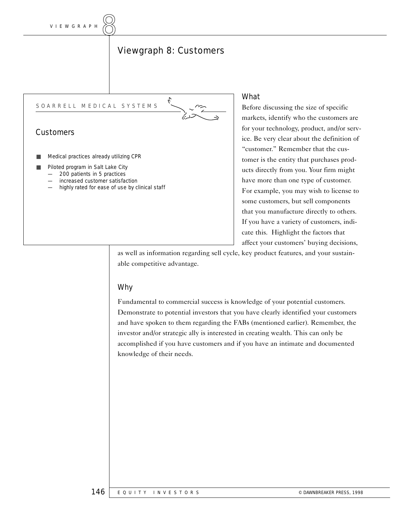

#### Viewgraph 8: Customers



#### What

Before discussing the size of specific markets, identify who the customers are for your technology, product, and/or service. Be very clear about the definition of "customer." Remember that the customer is the entity that purchases products directly from you. Your firm might have more than one type of customer. For example, you may wish to license to some customers, but sell components that you manufacture directly to others. If you have a variety of customers, indicate this. Highlight the factors that affect your customers' buying decisions,

as well as information regarding sell cycle, key product features, and your sustainable competitive advantage.

#### Why

Fundamental to commercial success is knowledge of your potential customers. Demonstrate to potential investors that you have clearly identified your customers and have spoken to them regarding the FABs (mentioned earlier). Remember, the investor and/or strategic ally is interested in creating wealth. This can only be accomplished if you have customers and if you have an intimate and documented knowledge of their needs.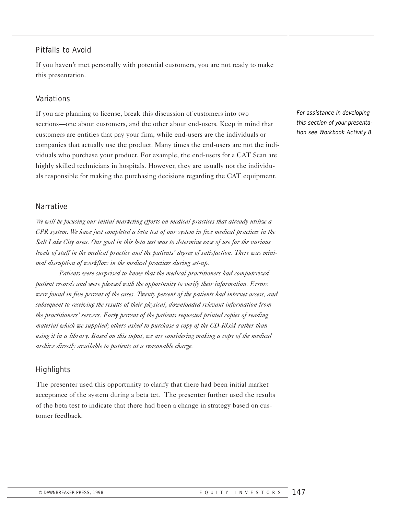#### Pitfalls to Avoid

If you haven't met personally with potential customers, you are not ready to make this presentation.

#### **Variations**

If you are planning to license, break this discussion of customers into two sections—one about customers, and the other about end-users. Keep in mind that customers are entities that pay your firm, while end-users are the individuals or companies that actually use the product. Many times the end-users are not the individuals who purchase your product. For example, the end-users for a CAT Scan are highly skilled technicians in hospitals. However, they are usually not the individuals responsible for making the purchasing decisions regarding the CAT equipment.

#### **Narrative**

*We will be focusing our initial marketing efforts on medical practices that already utilize a CPR system. We have just completed a beta test of our system in five medical practices in the Salt Lake City area. Our goal in this beta test was to determine ease of use for the various levels of staff in the medical practice and the patients' degree of satisfaction. There was minimal disruption of workflow in the medical practices during set-up.* 

*Patients were surprised to know that the medical practitioners had computerized patient records and were pleased with the opportunity to verify their information. Errors were found in five percent of the cases. Twenty percent of the patients had internet access, and subsequent to receiving the results of their physical, downloaded relevant information from the practitioners' servers. Forty percent of the patients requested printed copies of reading material which we supplied; others asked to purchase a copy of the CD-ROM rather than using it in a library. Based on this input, we are considering making a copy of the medical archive directly available to patients at a reasonable charge.* 

#### **Highlights**

The presenter used this opportunity to clarify that there had been initial market acceptance of the system during a beta tet. The presenter further used the results of the beta test to indicate that there had been a change in strategy based on customer feedback.

For assistance in developing this section of your presentation see Workbook Activity 8.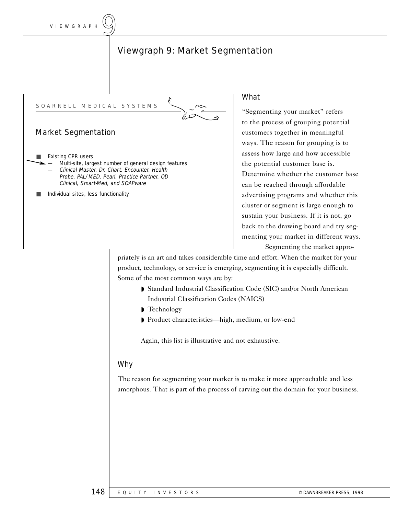

#### Viewgraph 9: Market Segmentation



#### What

"Segmenting your market" refers to the process of grouping potential customers together in meaningful ways. The reason for grouping is to assess how large and how accessible the potential customer base is.

Determine whether the customer base can be reached through affordable advertising programs and whether this cluster or segment is large enough to sustain your business. If it is not, go back to the drawing board and try segmenting your market in different ways. Segmenting the market appro-

priately is an art and takes considerable time and effort. When the market for your product, technology, or service is emerging, segmenting it is especially difficult. Some of the most common ways are by:

- ◗ Standard Industrial Classification Code (SIC) and/or North American Industrial Classification Codes (NAICS)
- ◗ Technology
- ◗ Product characteristics—high, medium, or low-end

Again, this list is illustrative and not exhaustive.

#### Why

The reason for segmenting your market is to make it more approachable and less amorphous. That is part of the process of carving out the domain for your business.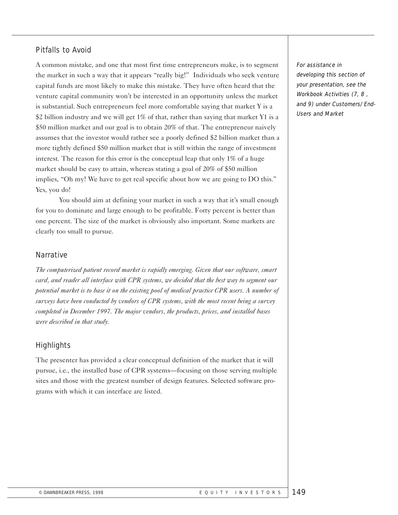#### Pitfalls to Avoid

A common mistake, and one that most first time entrepreneurs make, is to segment the market in such a way that it appears "really big!" Individuals who seek venture capital funds are most likely to make this mistake. They have often heard that the venture capital community won't be interested in an opportunity unless the market is substantial. Such entrepreneurs feel more comfortable saying that market Y is a \$2 billion industry and we will get  $1\%$  of that, rather than saying that market Y1 is a \$50 million market and our goal is to obtain 20% of that. The entrepreneur naively assumes that the investor would rather see a poorly defined \$2 billion market than a more tightly defined \$50 million market that is still within the range of investment interest. The reason for this error is the conceptual leap that only 1% of a huge market should be easy to attain, whereas stating a goal of 20% of \$50 million implies, "Oh my! We have to get real specific about how we are going to DO this." Yes, you do!

You should aim at defining your market in such a way that it's small enough for you to dominate and large enough to be profitable. Forty percent is better than one percent. The size of the market is obviously also important. Some markets are clearly too small to pursue.

#### **Narrative**

*The computerized patient record market is rapidly emerging. Given that our software, smart card, and reader all interface with CPR systems, we decided that the best way to segment our potential market is to base it on the existing pool of medical practice CPR users. A number of surveys have been conducted by vendors of CPR systems, with the most recent being a survey completed in December 1997. The major vendors, the products, prices, and installed bases were described in that study.* 

#### **Highlights**

The presenter has provided a clear conceptual definition of the market that it will pursue, i.e., the installed base of CPR systems—focusing on those serving multiple sites and those with the greatest number of design features. Selected software programs with which it can interface are listed.

For assistance in developing this section of your presentation, see the Workbook Activities (7, 8, and 9) under Customers/End-Users and Market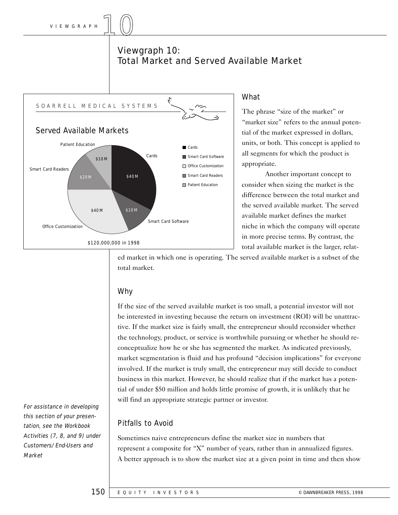#### Viewgraph 10: Total Market and Served Available Market



#### **What**

The phrase "size of the market" or "market size" refers to the annual potential of the market expressed in dollars, units, or both. This concept is applied to all segments for which the product is appropriate.

Another important concept to consider when sizing the market is the difference between the total market and the served available market. The served available market defines the market niche in which the company will operate in more precise terms. By contrast, the total available market is the larger, relat-

ed market in which one is operating. The served available market is a subset of the total market.

#### Why

If the size of the served available market is too small, a potential investor will not be interested in investing because the return on investment (ROI) will be unattractive. If the market size is fairly small, the entrepreneur should reconsider whether the technology, product, or service is worthwhile pursuing or whether he should reconceptualize how he or she has segmented the market. As indicated previously, market segmentation is fluid and has profound "decision implications" for everyone involved. If the market is truly small, the entrepreneur may still decide to conduct business in this market. However, he should realize that if the market has a potential of under \$50 million and holds little promise of growth, it is unlikely that he will find an appropriate strategic partner or investor.

#### Pitfalls to Avoid

Sometimes naive entrepreneurs define the market size in numbers that represent a composite for "X" number of years, rather than in annualized figures. A better approach is to show the market size at a given point in time and then show

For assistance in developing this section of your presentation, see the Workbook Activities (7, 8, and 9) under Customers/End-Users and Market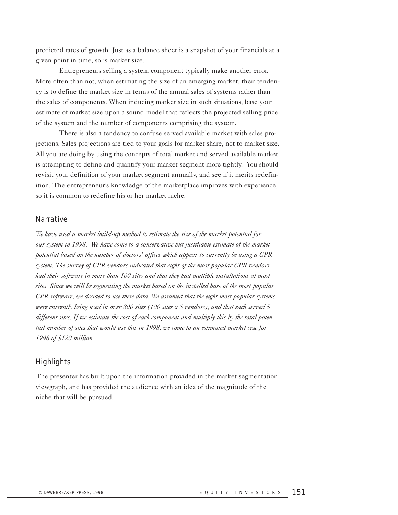predicted rates of growth. Just as a balance sheet is a snapshot of your financials at a given point in time, so is market size.

Entrepreneurs selling a system component typically make another error. More often than not, when estimating the size of an emerging market, their tendency is to define the market size in terms of the annual sales of systems rather than the sales of components. When inducing market size in such situations, base your estimate of market size upon a sound model that reflects the projected selling price of the system and the number of components comprising the system.

There is also a tendency to confuse served available market with sales projections. Sales projections are tied to your goals for market share, not to market size. All you are doing by using the concepts of total market and served available market is attempting to define and quantify your market segment more tightly. You should revisit your definition of your market segment annually, and see if it merits redefinition. The entrepreneur's knowledge of the marketplace improves with experience, so it is common to redefine his or her market niche.

#### **Narrative**

*We have used a market build-up method to estimate the size of the market potential for our system in 1998. We have come to a conservative but justifiable estimate of the market potential based on the number of doctors' offices which appear to currently be using a CPR system. The survey of CPR vendors indicated that eight of the most popular CPR vendors had their software in more than 100 sites and that they had multiple installations at most sites. Since we will be segmenting the market based on the installed base of the most popular CPR software, we decided to use these data. We assumed that the eight most popular systems were currently being used in over 800 sites (100 sites x 8 vendors), and that each served 5 different sites. If we estimate the cost of each component and multiply this by the total potential number of sites that would use this in 1998, we come to an estimated market size for 1998 of \$120 million.* 

#### **Highlights**

The presenter has built upon the information provided in the market segmentation viewgraph, and has provided the audience with an idea of the magnitude of the niche that will be pursued.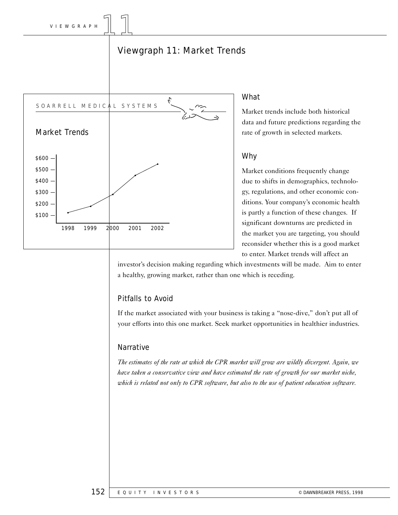



#### **What**

Market trends include both historical data and future predictions regarding the rate of growth in selected markets.

#### Why

Market conditions frequently change due to shifts in demographics, technology, regulations, and other economic conditions. Your company's economic health is partly a function of these changes. If significant downturns are predicted in the market you are targeting, you should reconsider whether this is a good market to enter. Market trends will affect an

investor's decision making regarding which investments will be made. Aim to enter a healthy, growing market, rather than one which is receding.

#### Pitfalls to Avoid

If the market associated with your business is taking a "nose-dive," don't put all of your efforts into this one market. Seek market opportunities in healthier industries.

#### Narrative

*The estimates of the rate at which the CPR market will grow are wildly divergent. Again, we have taken a conservative view and have estimated the rate of growth for our market niche, which is related not only to CPR software, but also to the use of patient education software.*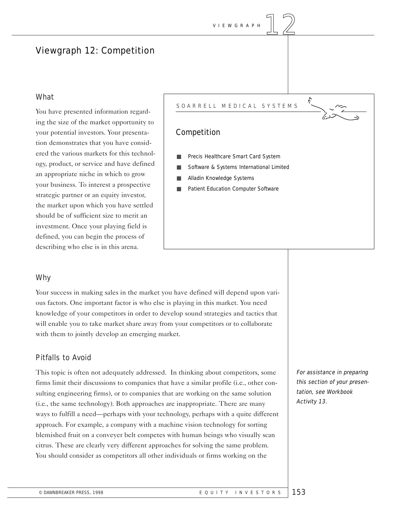#### Viewgraph 12: Competition

#### **What**

You have presented information regarding the size of the market opportunity to your potential investors. Your presentation demonstrates that you have considered the various markets for this technology, product, or service and have defined an appropriate niche in which to grow your business. To interest a prospective strategic partner or an equity investor, the market upon which you have settled should be of sufficient size to merit an investment. Once your playing field is defined, you can begin the process of describing who else is in this arena.

#### SOARRELL MEDICAL SYSTEMS

#### Competition

- Precis Healthcare Smart Card System
- Software & Systems International Limited
- Alladin Knowledge Systems
- Patient Education Computer Software

#### Why

Your success in making sales in the market you have defined will depend upon various factors. One important factor is who else is playing in this market. You need knowledge of your competitors in order to develop sound strategies and tactics that will enable you to take market share away from your competitors or to collaborate with them to jointly develop an emerging market.

#### Pitfalls to Avoid

This topic is often not adequately addressed. In thinking about competitors, some firms limit their discussions to companies that have a similar profile (i.e., other consulting engineering firms), or to companies that are working on the same solution (i.e., the same technology). Both approaches are inappropriate. There are many ways to fulfill a need—perhaps with your technology, perhaps with a quite different approach. For example, a company with a machine vision technology for sorting blemished fruit on a conveyer belt competes with human beings who visually scan citrus. These are clearly very different approaches for solving the same problem. You should consider as competitors all other individuals or firms working on the

For assistance in preparing this section of your presentation, see Workbook Activity 13.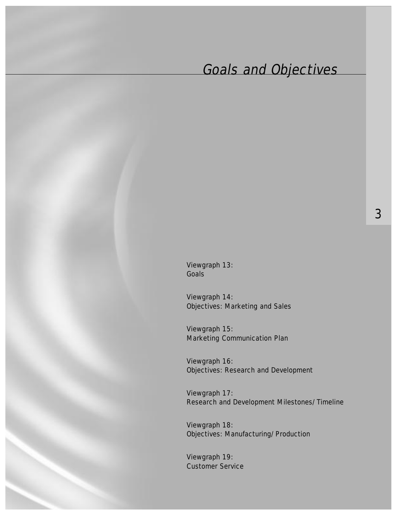## Goals and Objectives

Viewgraph 13: **Goals** 

Viewgraph 14: Objectives: Marketing and Sales

Viewgraph 15: Marketing Communication Plan

Viewgraph 16: Objectives: Research and Development

Viewgraph 17: Research and Development Milestones/Timeline

Viewgraph 18: Objectives: Manufacturing/Production

Viewgraph 19: Customer Service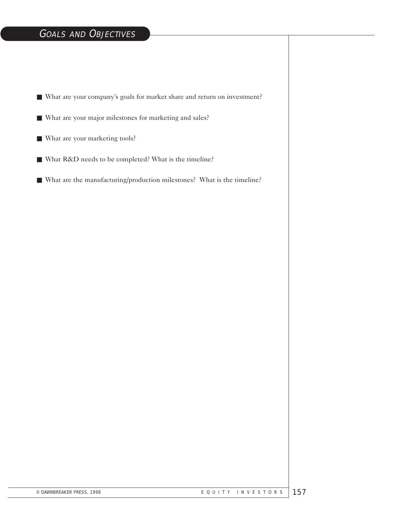## GOALS AND OBJECTIVES

- What are your company's goals for market share and return on investment?
- What are your major milestones for marketing and sales?
- What are your marketing tools?
- What R&D needs to be completed? What is the timeline?
- What are the manufacturing/production milestones? What is the timeline?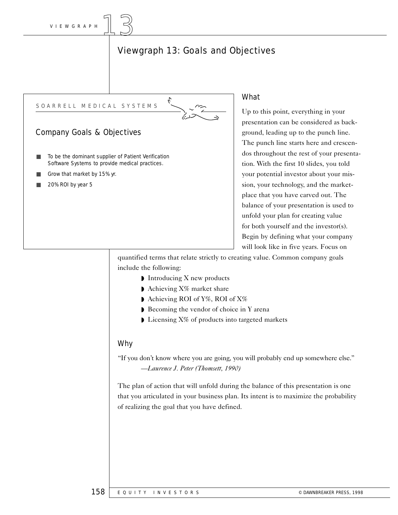#### Viewgraph 13: Goals and Objectives



Company Goals & Objectives

- To be the dominant supplier of Patient Verification Software Systems to provide medical practices.
- Grow that market by 15% yr.
- 20% ROI by year 5

#### What

Up to this point, everything in your presentation can be considered as background, leading up to the punch line. The punch line starts here and crescendos throughout the rest of your presentation. With the first 10 slides, you told your potential investor about your mission, your technology, and the marketplace that you have carved out. The balance of your presentation is used to unfold your plan for creating value for both yourself and the investor(s). Begin by defining what your company will look like in five years. Focus on

quantified terms that relate strictly to creating value. Common company goals include the following:

- ◗ Introducing X new products
- ◗ Achieving X% market share
- ◗ Achieving ROI of Y%, ROI of X%
- ◗ Becoming the vendor of choice in Y arena
- ◗ Licensing X% of products into targeted markets

#### Why

"If you don't know where you are going, you will probably end up somewhere else." *—Laurence J. Peter (Thomsett, 1990)* 

The plan of action that will unfold during the balance of this presentation is one that you articulated in your business plan. Its intent is to maximize the probability of realizing the goal that you have defined.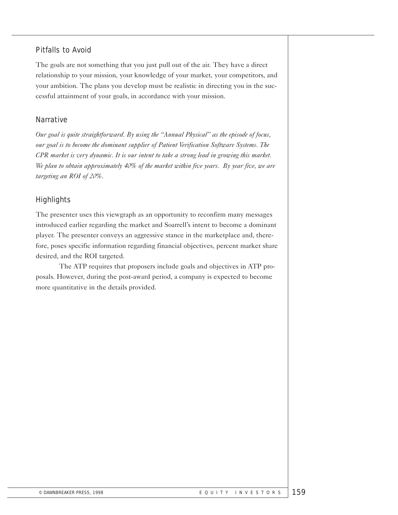#### Pitfalls to Avoid

The goals are not something that you just pull out of the air. They have a direct relationship to your mission, your knowledge of your market, your competitors, and your ambition. The plans you develop must be realistic in directing you in the successful attainment of your goals, in accordance with your mission.

#### **Narrative**

*Our goal is quite straightforward. By using the "Annual Physical" as the episode of focus, our goal is to become the dominant supplier of Patient Verification Software Systems. The CPR market is very dynamic. It is our intent to take a strong lead in growing this market. We plan to obtain approximately 40% of the market within five years. By year five, we are targeting an ROI of 20%.* 

#### **Highlights**

The presenter uses this viewgraph as an opportunity to reconfirm many messages introduced earlier regarding the market and Soarrell's intent to become a dominant player. The presenter conveys an aggressive stance in the marketplace and, therefore, poses specific information regarding financial objectives, percent market share desired, and the ROI targeted.

The ATP requires that proposers include goals and objectives in ATP proposals. However, during the post-award period, a company is expected to become more quantitative in the details provided.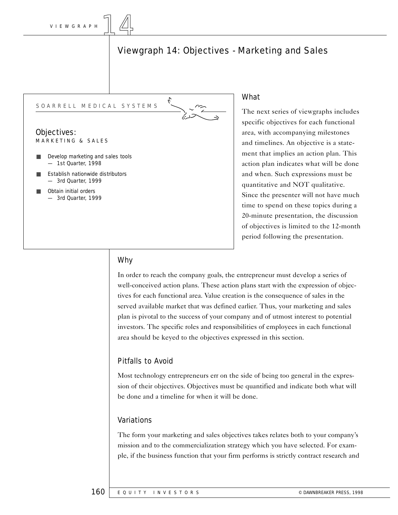#### Viewgraph 14: Objectives - Marketing and Sales



#### Objectives: MARKETING & SALES

- Develop marketing and sales tools — 1st Quarter, 1998
- Establish nationwide distributors — 3rd Quarter, 1999
- Obtain initial orders — 3rd Quarter, 1999

#### **What**

The next series of viewgraphs includes specific objectives for each functional area, with accompanying milestones and timelines. An objective is a statement that implies an action plan. This action plan indicates what will be done and when. Such expressions must be quantitative and NOT qualitative. Since the presenter will not have much time to spend on these topics during a 20-minute presentation, the discussion of objectives is limited to the 12-month period following the presentation.

#### Why

In order to reach the company goals, the entrepreneur must develop a series of well-conceived action plans. These action plans start with the expression of objectives for each functional area. Value creation is the consequence of sales in the served available market that was defined earlier. Thus, your marketing and sales plan is pivotal to the success of your company and of utmost interest to potential investors. The specific roles and responsibilities of employees in each functional area should be keyed to the objectives expressed in this section.

#### Pitfalls to Avoid

Most technology entrepreneurs err on the side of being too general in the expression of their objectives. Objectives must be quantified and indicate both what will be done and a timeline for when it will be done.

#### **Variations**

The form your marketing and sales objectives takes relates both to your company's mission and to the commercialization strategy which you have selected. For example, if the business function that your firm performs is strictly contract research and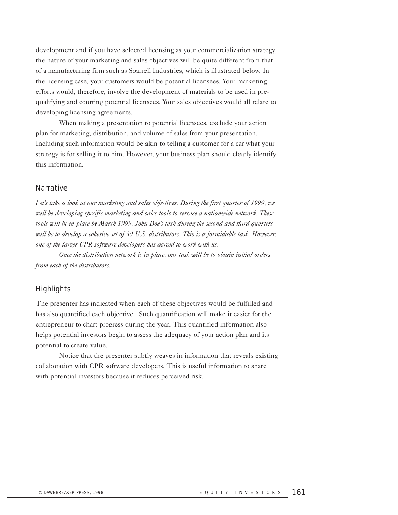development and if you have selected licensing as your commercialization strategy, the nature of your marketing and sales objectives will be quite different from that of a manufacturing firm such as Soarrell Industries, which is illustrated below. In the licensing case, your customers would be potential licensees. Your marketing efforts would, therefore, involve the development of materials to be used in prequalifying and courting potential licensees. Your sales objectives would all relate to developing licensing agreements.

When making a presentation to potential licensees, exclude your action plan for marketing, distribution, and volume of sales from your presentation. Including such information would be akin to telling a customer for a car what your strategy is for selling it to him. However, your business plan should clearly identify this information.

#### **Narrative**

*Let's take a look at our marketing and sales objectives. During the first quarter of 1999, we will be developing specific marketing and sales tools to service a nationwide network. These tools will be in place by March 1999. John Doe's task during the second and third quarters*  will be to develop a cohesive set of 30 U.S. distributors. This is a formidable task. However, *one of the larger CPR software developers has agreed to work with us.* 

*Once the distribution network is in place, our task will be to obtain initial orders from each of the distributors.* 

#### **Highlights**

The presenter has indicated when each of these objectives would be fulfilled and has also quantified each objective. Such quantification will make it easier for the entrepreneur to chart progress during the year. This quantified information also helps potential investors begin to assess the adequacy of your action plan and its potential to create value.

Notice that the presenter subtly weaves in information that reveals existing collaboration with CPR software developers. This is useful information to share with potential investors because it reduces perceived risk.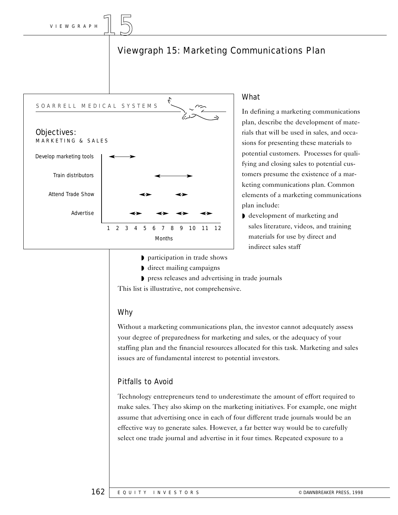

Viewgraph 15: Marketing Communications Plan



#### What

In defining a marketing communications plan, describe the development of materials that will be used in sales, and occasions for presenting these materials to potential customers. Processes for qualifying and closing sales to potential customers presume the existence of a marketing communications plan. Common elements of a marketing communications plan include:

- ◗ development of marketing and sales literature, videos, and training materials for use by direct and indirect sales staff
- ◗ participation in trade shows
- ◗ direct mailing campaigns
- ◗ press releases and advertising in trade journals

This list is illustrative, not comprehensive.

#### Why

Without a marketing communications plan, the investor cannot adequately assess your degree of preparedness for marketing and sales, or the adequacy of your staffing plan and the financial resources allocated for this task. Marketing and sales issues are of fundamental interest to potential investors.

#### Pitfalls to Avoid

Technology entrepreneurs tend to underestimate the amount of effort required to make sales. They also skimp on the marketing initiatives. For example, one might assume that advertising once in each of four different trade journals would be an effective way to generate sales. However, a far better way would be to carefully select one trade journal and advertise in it four times. Repeated exposure to a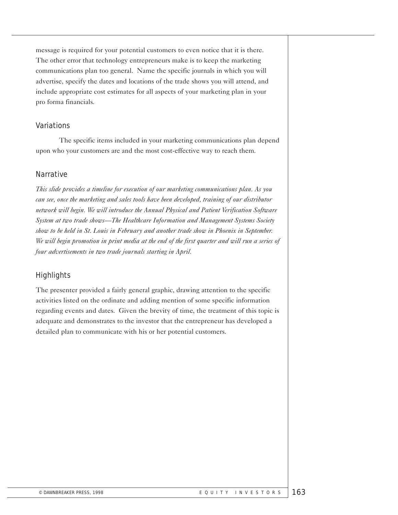message is required for your potential customers to even notice that it is there. The other error that technology entrepreneurs make is to keep the marketing communications plan too general. Name the specific journals in which you will advertise, specify the dates and locations of the trade shows you will attend, and include appropriate cost estimates for all aspects of your marketing plan in your pro forma financials.

#### **Variations**

The specific items included in your marketing communications plan depend upon who your customers are and the most cost-effective way to reach them.

#### **Narrative**

*This slide provides a timeline for execution of our marketing communications plan. As you can see, once the marketing and sales tools have been developed, training of our distributor network will begin. We will introduce the Annual Physical and Patient Verification Software System at two trade shows—The Healthcare Information and Management Systems Society show to be held in St. Louis in February and another trade show in Phoenix in September. We will begin promotion in print media at the end of the first quarter and will run a series of four advertisements in two trade journals starting in April.* 

#### **Highlights**

The presenter provided a fairly general graphic, drawing attention to the specific activities listed on the ordinate and adding mention of some specific information regarding events and dates. Given the brevity of time, the treatment of this topic is adequate and demonstrates to the investor that the entrepreneur has developed a detailed plan to communicate with his or her potential customers.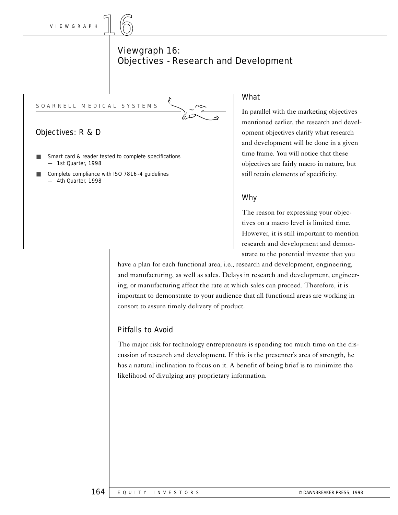#### Viewgraph 16: Objectives - Research and Development

SOARRELL MEDICAL SYSTEMS

#### Objectives: R & D

- Smart card & reader tested to complete specifications — 1st Quarter, 1998
- Complete compliance with ISO 7816-4 guidelines — 4th Quarter, 1998

#### What

In parallel with the marketing objectives mentioned earlier, the research and development objectives clarify what research and development will be done in a given time frame. You will notice that these objectives are fairly macro in nature, but still retain elements of specificity.

#### Why

The reason for expressing your objectives on a macro level is limited time. However, it is still important to mention research and development and demonstrate to the potential investor that you

have a plan for each functional area, i.e., research and development, engineering, and manufacturing, as well as sales. Delays in research and development, engineering, or manufacturing affect the rate at which sales can proceed. Therefore, it is important to demonstrate to your audience that all functional areas are working in consort to assure timely delivery of product.

#### Pitfalls to Avoid

The major risk for technology entrepreneurs is spending too much time on the discussion of research and development. If this is the presenter's area of strength, he has a natural inclination to focus on it. A benefit of being brief is to minimize the likelihood of divulging any proprietary information.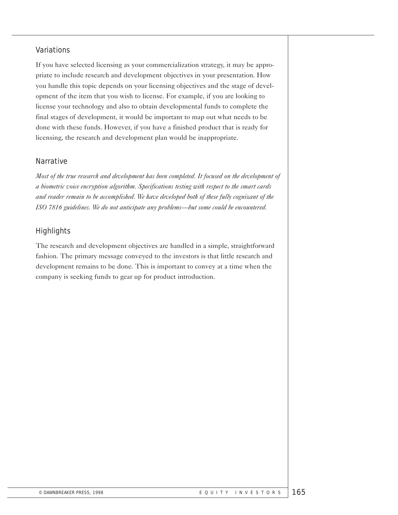#### **Variations**

If you have selected licensing as your commercialization strategy, it may be appropriate to include research and development objectives in your presentation. How you handle this topic depends on your licensing objectives and the stage of development of the item that you wish to license. For example, if you are looking to license your technology and also to obtain developmental funds to complete the final stages of development, it would be important to map out what needs to be done with these funds. However, if you have a finished product that is ready for licensing, the research and development plan would be inappropriate.

#### **Narrative**

*Most of the true research and development has been completed. It focused on the development of a biometric voice encryption algorithm. Specifications testing with respect to the smart cards and reader remain to be accomplished. We have developed both of these fully cognizant of the ISO 7816 guidelines. We do not anticipate any problems—but some could be encountered.* 

#### **Highlights**

The research and development objectives are handled in a simple, straightforward fashion. The primary message conveyed to the investors is that little research and development remains to be done. This is important to convey at a time when the company is seeking funds to gear up for product introduction.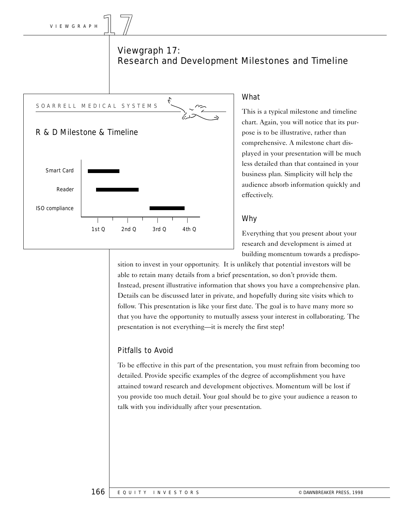

This is a typical milestone and timeline chart. Again, you will notice that its purpose is to be illustrative, rather than comprehensive. A milestone chart displayed in your presentation will be much less detailed than that contained in your business plan. Simplicity will help the audience absorb information quickly and

Everything that you present about your research and development is aimed at building momentum towards a predispo-

sition to invest in your opportunity. It is unlikely that potential investors will be able to retain many details from a brief presentation, so don't provide them. Instead, present illustrative information that shows you have a comprehensive plan. Details can be discussed later in private, and hopefully during site visits which to follow. This presentation is like your first date. The goal is to have many more so that you have the opportunity to mutually assess your interest in collaborating. The presentation is not everything—it is merely the first step!

#### Pitfalls to Avoid

To be effective in this part of the presentation, you must refrain from becoming too detailed. Provide specific examples of the degree of accomplishment you have attained toward research and development objectives. Momentum will be lost if you provide too much detail. Your goal should be to give your audience a reason to talk with you individually after your presentation.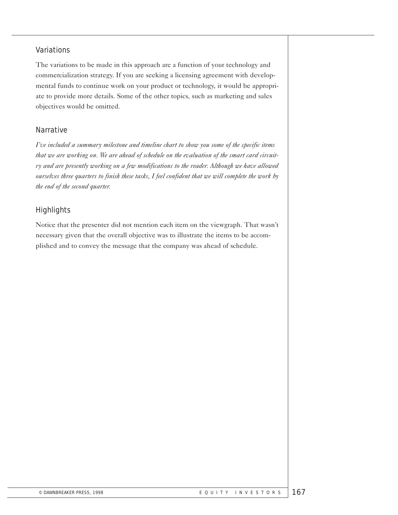#### **Variations**

The variations to be made in this approach are a function of your technology and commercialization strategy. If you are seeking a licensing agreement with developmental funds to continue work on your product or technology, it would be appropriate to provide more details. Some of the other topics, such as marketing and sales objectives would be omitted.

#### **Narrative**

*I've included a summary milestone and timeline chart to show you some of the specific items that we are working on. We are ahead of schedule on the evaluation of the smart card circuitry and are presently working on a few modifications to the reader. Although we have allowed ourselves three quarters to finish these tasks, I feel confident that we will complete the work by the end of the second quarter.* 

#### **Highlights**

Notice that the presenter did not mention each item on the viewgraph. That wasn't necessary given that the overall objective was to illustrate the items to be accomplished and to convey the message that the company was ahead of schedule.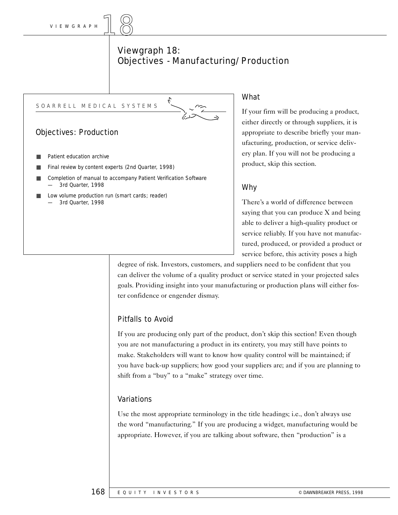#### Viewgraph 18: Objectives - Manufacturing/Production

SOARRELL MEDICAL SYSTEMS

#### Objectives: Production

- Patient education archive
- Final review by content experts (2nd Quarter, 1998)
- Completion of manual to accompany Patient Verification Software 3rd Quarter, 1998
- Low volume production run (smart cards; reader) 3rd Quarter, 1998

#### **What**

If your firm will be producing a product, either directly or through suppliers, it is appropriate to describe briefly your manufacturing, production, or service delivery plan. If you will not be producing a product, skip this section.

#### Why

There's a world of difference between saying that you can produce X and being able to deliver a high-quality product or service reliably. If you have not manufactured, produced, or provided a product or service before, this activity poses a high

degree of risk. Investors, customers, and suppliers need to be confident that you can deliver the volume of a quality product or service stated in your projected sales goals. Providing insight into your manufacturing or production plans will either foster confidence or engender dismay.

#### Pitfalls to Avoid

If you are producing only part of the product, don't skip this section! Even though you are not manufacturing a product in its entirety, you may still have points to make. Stakeholders will want to know how quality control will be maintained; if you have back-up suppliers; how good your suppliers are; and if you are planning to shift from a "buy" to a "make" strategy over time.

#### **Variations**

Use the most appropriate terminology in the title headings; i.e., don't always use the word "manufacturing." If you are producing a widget, manufacturing would be appropriate. However, if you are talking about software, then "production" is a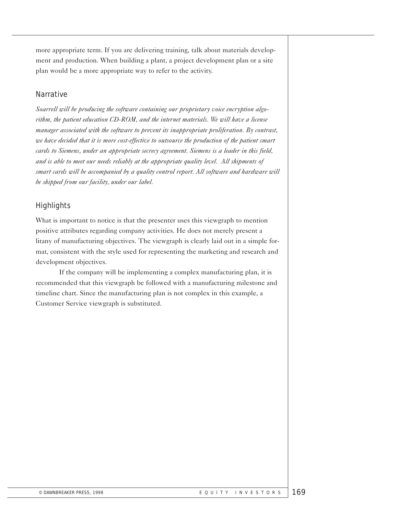more appropriate term. If you are delivering training, talk about materials development and production. When building a plant, a project development plan or a site plan would be a more appropriate way to refer to the activity.

#### **Narrative**

*Soarrell will be producing the software containing our proprietary voice encryption algorithm, the patient education CD-ROM, and the internet materials. We will have a license manager associated with the software to prevent its inappropriate proliferation. By contrast, we have decided that it is more cost-effective to outsource the production of the patient smart cards to Siemens, under an appropriate secrecy agreement. Siemens is a leader in this field, and is able to meet our needs reliably at the appropriate quality level. All shipments of smart cards will be accompanied by a quality control report. All software and hardware will be shipped from our facility, under our label.* 

#### **Highlights**

What is important to notice is that the presenter uses this viewgraph to mention positive attributes regarding company activities. He does not merely present a litany of manufacturing objectives. The viewgraph is clearly laid out in a simple format, consistent with the style used for representing the marketing and research and development objectives.

If the company will be implementing a complex manufacturing plan, it is recommended that this viewgraph be followed with a manufacturing milestone and timeline chart. Since the manufacturing plan is not complex in this example, a Customer Service viewgraph is substituted.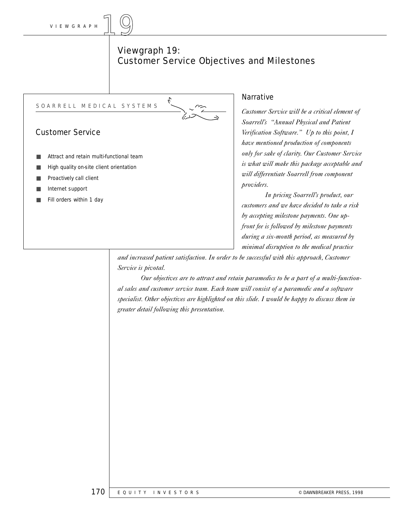#### Viewgraph 19: Customer Service Objectives and Milestones



#### Narrative

*Customer Service will be a critical element of Soarrell's "Annual Physical and Patient Verification Software." Up to this point, I have mentioned production of components only for sake of clarity. Our Customer Service is what will make this package acceptable and will differentiate Soarrell from component providers.* 

*In pricing Soarrell's product, our customers and we have decided to take a risk by accepting milestone payments. One upfront fee is followed by milestone payments during a six-month period, as measured by minimal disruption to the medical practice* 

*and increased patient satisfaction. In order to be successful with this approach, Customer Service is pivotal.* 

*Our objectives are to attract and retain paramedics to be a part of a multi-functional sales and customer service team. Each team will consist of a paramedic and a software specialist. Other objectives are highlighted on this slide. I would be happy to discuss them in greater detail following this presentation.*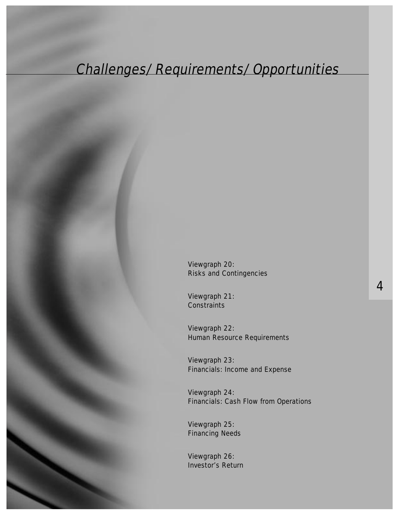## Challenges/Requirements/Opportunities

Viewgraph 20: Risks and Contingencies

Viewgraph 21: **Constraints** 

Viewgraph 22: Human Resource Requirements

Viewgraph 23: Financials: Income and Expense

Viewgraph 24: Financials: Cash Flow from Operations

Viewgraph 25: Financing Needs

Viewgraph 26: Investor's Return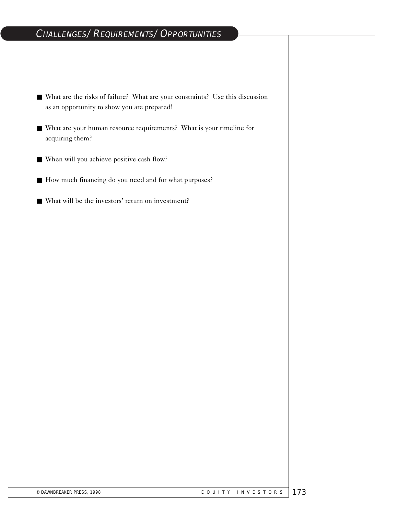### CHALLENGES/REQUIREMENTS/OPPORTUNITIES

- What are the risks of failure? What are your constraints? Use this discussion as an opportunity to show you are prepared!
- What are your human resource requirements? What is your timeline for acquiring them?
- When will you achieve positive cash flow?
- How much financing do you need and for what purposes?
- What will be the investors' return on investment?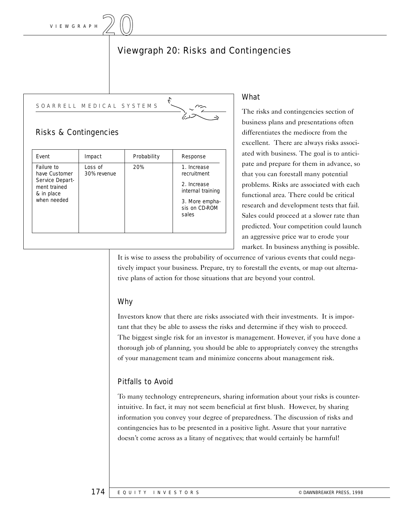VIEWGRAPH

#### Viewgraph 20: Risks and Contingencies

#### SOARRELL MEDICAL SYSTEMS

#### Risks & Contingencies

| Fvent                                         | Impact                 | Probability | Response                                 |
|-----------------------------------------------|------------------------|-------------|------------------------------------------|
| Failure to<br>have Customer                   | Loss of<br>30% revenue | 20%         | 1. Increase<br>recruitment               |
| Service Depart-<br>ment trained<br>& in place |                        |             | 2. Increase<br>internal training         |
| when needed                                   |                        |             | 3. More empha-<br>sis on CD-ROM<br>sales |

#### **What**

The risks and contingencies section of business plans and presentations often differentiates the mediocre from the excellent. There are always risks associated with business. The goal is to anticipate and prepare for them in advance, so that you can forestall many potential problems. Risks are associated with each functional area. There could be critical research and development tests that fail. Sales could proceed at a slower rate than predicted. Your competition could launch an aggressive price war to erode your market. In business anything is possible.

It is wise to assess the probability of occurrence of various events that could negatively impact your business. Prepare, try to forestall the events, or map out alternative plans of action for those situations that are beyond your control.

#### Why

Investors know that there are risks associated with their investments. It is important that they be able to assess the risks and determine if they wish to proceed. The biggest single risk for an investor is management. However, if you have done a thorough job of planning, you should be able to appropriately convey the strengths of your management team and minimize concerns about management risk.

#### Pitfalls to Avoid

To many technology entrepreneurs, sharing information about your risks is counterintuitive. In fact, it may not seem beneficial at first blush. However, by sharing information you convey your degree of preparedness. The discussion of risks and contingencies has to be presented in a positive light. Assure that your narrative doesn't come across as a litany of negatives; that would certainly be harmful!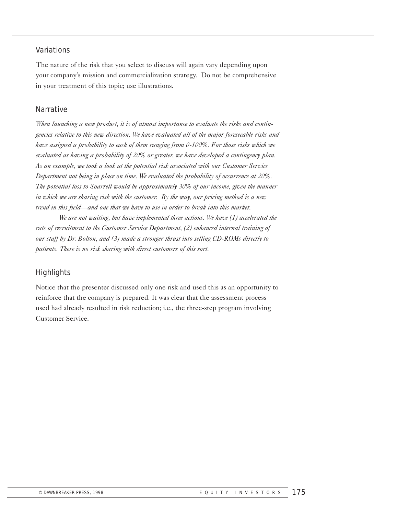#### **Variations**

The nature of the risk that you select to discuss will again vary depending upon your company's mission and commercialization strategy. Do not be comprehensive in your treatment of this topic; use illustrations.

#### **Narrative**

*When launching a new product, it is of utmost importance to evaluate the risks and contingencies relative to this new direction. We have evaluated all of the major foreseeable risks and have assigned a probability to each of them ranging from 0-100%. For those risks which we evaluated as having a probability of 20% or greater, we have developed a contingency plan. As an example, we took a look at the potential risk associated with our Customer Service Department not being in place on time. We evaluated the probability of occurrence at 20%. The potential loss to Soarrell would be approximately 30% of our income, given the manner in which we are sharing risk with the customer. By the way, our pricing method is a new trend in this field—and one that we have to use in order to break into this market.* 

*We are not waiting, but have implemented three actions. We have (1) accelerated the rate of recruitment to the Customer Service Department, (2) enhanced internal training of our staff by Dr. Bolton, and (3) made a stronger thrust into selling CD-ROMs directly to patients. There is no risk sharing with direct customers of this sort.* 

#### **Highlights**

Notice that the presenter discussed only one risk and used this as an opportunity to reinforce that the company is prepared. It was clear that the assessment process used had already resulted in risk reduction; i.e., the three-step program involving Customer Service.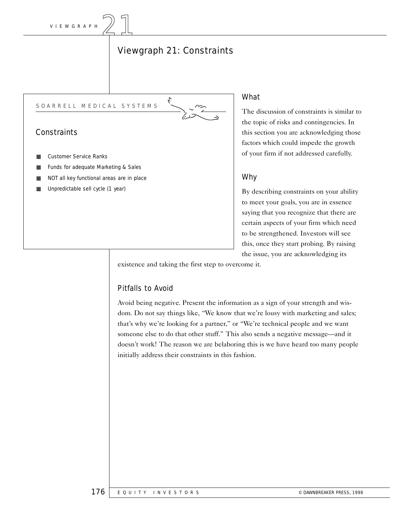

#### Viewgraph 21: Constraints

SOARRELL MEDICAL SYSTEMS

#### **Constraints**

- Customer Service Ranks
- Funds for adequate Marketing & Sales
- NOT all key functional areas are in place
- Unpredictable sell cycle (1 year)

#### **What**

The discussion of constraints is similar to the topic of risks and contingencies. In this section you are acknowledging those factors which could impede the growth of your firm if not addressed carefully.

#### Why

By describing constraints on your ability to meet your goals, you are in essence saying that you recognize that there are certain aspects of your firm which need to be strengthened. Investors will see this, once they start probing. By raising the issue, you are acknowledging its

existence and taking the first step to overcome it.

#### Pitfalls to Avoid

Avoid being negative. Present the information as a sign of your strength and wisdom. Do not say things like, "We know that we're lousy with marketing and sales; that's why we're looking for a partner," or "We're technical people and we want someone else to do that other stuff." This also sends a negative message—and it doesn't work! The reason we are belaboring this is we have heard too many people initially address their constraints in this fashion.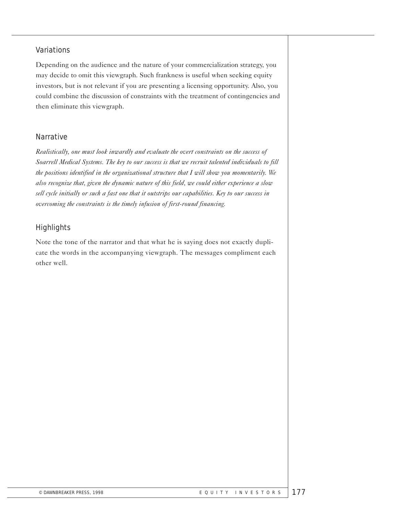#### **Variations**

Depending on the audience and the nature of your commercialization strategy, you may decide to omit this viewgraph. Such frankness is useful when seeking equity investors, but is not relevant if you are presenting a licensing opportunity. Also, you could combine the discussion of constraints with the treatment of contingencies and then eliminate this viewgraph.

#### **Narrative**

*Realistically, one must look inwardly and evaluate the overt constraints on the success of Soarrell Medical Systems. The key to our success is that we recruit talented individuals to fill the positions identified in the organizational structure that I will show you momentarily. We also recognize that, given the dynamic nature of this field, we could either experience a slow sell cycle initially or such a fast one that it outstrips our capabilities. Key to our success in overcoming the constraints is the timely infusion of first-round financing.* 

#### **Highlights**

Note the tone of the narrator and that what he is saying does not exactly duplicate the words in the accompanying viewgraph. The messages compliment each other well.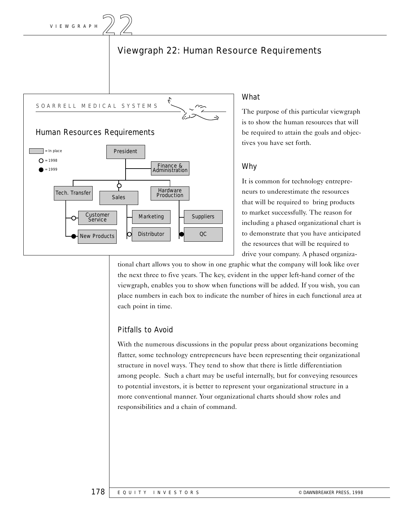VIEWGRAPH





#### **What**

The purpose of this particular viewgraph is to show the human resources that will be required to attain the goals and objectives you have set forth.

#### Why

It is common for technology entrepreneurs to underestimate the resources that will be required to bring products to market successfully. The reason for including a phased organizational chart is to demonstrate that you have anticipated the resources that will be required to drive your company. A phased organiza-

tional chart allows you to show in one graphic what the company will look like over the next three to five years. The key, evident in the upper left-hand corner of the viewgraph, enables you to show when functions will be added. If you wish, you can place numbers in each box to indicate the number of hires in each functional area at each point in time.

#### Pitfalls to Avoid

With the numerous discussions in the popular press about organizations becoming flatter, some technology entrepreneurs have been representing their organizational structure in novel ways. They tend to show that there is little differentiation among people. Such a chart may be useful internally, but for conveying resources to potential investors, it is better to represent your organizational structure in a more conventional manner. Your organizational charts should show roles and responsibilities and a chain of command.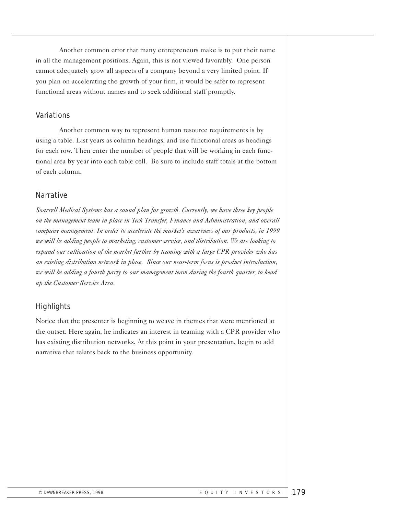Another common error that many entrepreneurs make is to put their name in all the management positions. Again, this is not viewed favorably. One person cannot adequately grow all aspects of a company beyond a very limited point. If you plan on accelerating the growth of your firm, it would be safer to represent functional areas without names and to seek additional staff promptly.

#### **Variations**

Another common way to represent human resource requirements is by using a table. List years as column headings, and use functional areas as headings for each row. Then enter the number of people that will be working in each functional area by year into each table cell. Be sure to include staff totals at the bottom of each column.

#### **Narrative**

*Soarrell Medical Systems has a sound plan for growth. Currently, we have three key people on the management team in place in Tech Transfer, Finance and Administration, and overall company management. In order to accelerate the market's awareness of our products, in 1999 we will be adding people to marketing, customer service, and distribution. We are looking to expand our cultivation of the market further by teaming with a large CPR provider who has an existing distribution network in place. Since our near-term focus is product introduction, we will be adding a fourth party to our management team during the fourth quarter, to head up the Customer Service Area.* 

#### **Highlights**

Notice that the presenter is beginning to weave in themes that were mentioned at the outset. Here again, he indicates an interest in teaming with a CPR provider who has existing distribution networks. At this point in your presentation, begin to add narrative that relates back to the business opportunity.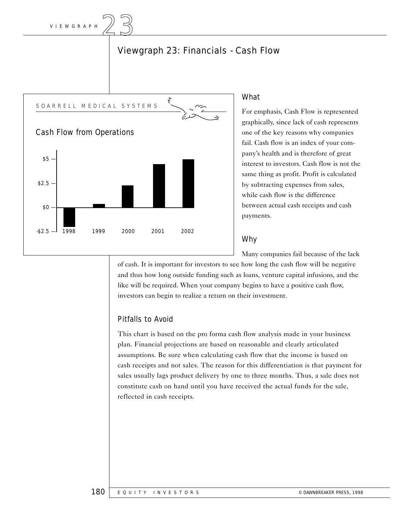

#### What

For emphasis, Cash Flow is represented graphically, since lack of cash represents one of the key reasons why companies fail. Cash flow is an index of your company's health and is therefore of great interest to investors. Cash flow is not the same thing as profit. Profit is calculated by subtracting expenses from sales, while cash flow is the difference between actual cash receipts and cash payments.

#### Why

Many companies fail because of the lack of cash. It is important for investors to see how long the cash flow will be negative and thus how long outside funding such as loans, venture capital infusions, and the like will be required. When your company begins to have a positive cash flow, investors can begin to realize a return on their investment.

#### Pitfalls to Avoid

This chart is based on the pro forma cash flow analysis made in your business plan. Financial projections are based on reasonable and clearly articulated assumptions. Be sure when calculating cash flow that the income is based on cash receipts and not sales. The reason for this differentiation is that payment for sales usually lags product delivery by one to three months. Thus, a sale does not constitute cash on hand until you have received the actual funds for the sale, reflected in cash receipts.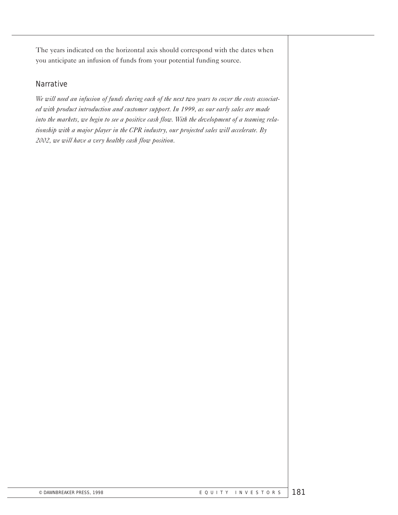The years indicated on the horizontal axis should correspond with the dates when you anticipate an infusion of funds from your potential funding source.

#### **Narrative**

*We will need an infusion of funds during each of the next two years to cover the costs associated with product introduction and customer support. In 1999, as our early sales are made into the markets, we begin to see a positive cash flow. With the development of a teaming relationship with a major player in the CPR industry, our projected sales will accelerate. By 2002, we will have a very healthy cash flow position.*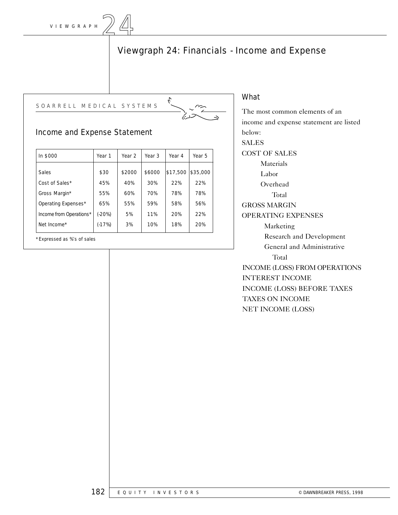VIEWGRAPH

#### Viewgraph 24: Financials - Income and Expense

#### SOARRELL MEDICAL SYSTEMS



## Income and Expense Statement

| In \$000                | Year 1 | Year 2 | Year <sub>3</sub> | Year 4   | Year 5   |
|-------------------------|--------|--------|-------------------|----------|----------|
| <b>Sales</b>            | \$30   | \$2000 | \$6000            | \$17,500 | \$35,000 |
| Cost of Sales*          | 45%    | 40%    | 30%               | 22%      | 22%      |
| Gross Margin*           | 55%    | 60%    | 70%               | 78%      | 78%      |
| Operating Expenses*     | 65%    | 55%    | 59%               | 58%      | 56%      |
| Income from Operations* | (20%)  | 5%     | 11%               | 20%      | 22%      |
| Net Income*             | (-17%) | 3%     | 10%               | 18%      | 20%      |

\*Expressed as %'s of sales

#### What

The most common elements of an income and expense statement are listed below: SALES COST OF SALES Materials Labor Overhead Total GROSS MARGIN OPERATING EXPENSES Marketing Research and Development General and Administrative Total INCOME (LOSS) FROM OPERATIONS INTEREST INCOME INCOME (LOSS) BEFORE TAXES TAXES ON INCOME NET INCOME (LOSS)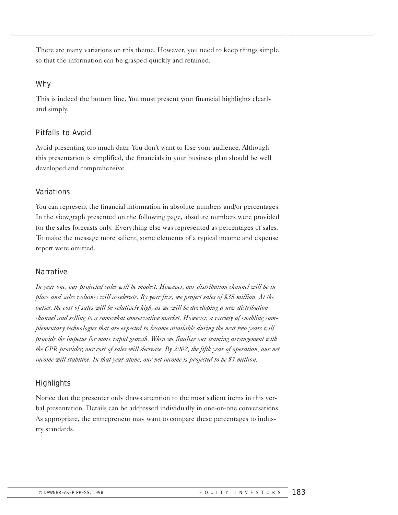There are many variations on this theme. However, you need to keep things simple so that the information can be grasped quickly and retained.

#### Why

This is indeed the bottom line. You must present your financial highlights clearly and simply.

#### Pitfalls to Avoid

Avoid presenting too much data. You don't want to lose your audience. Although this presentation is simplified, the financials in your business plan should be well developed and comprehensive.

#### **Variations**

You can represent the financial information in absolute numbers and/or percentages. In the viewgraph presented on the following page, absolute numbers were provided for the sales forecasts only. Everything else was represented as percentages of sales. To make the message more salient, some elements of a typical income and expense report were omitted.

#### **Narrative**

*In year one, our projected sales will be modest. However, our distribution channel will be in place and sales volumes will accelerate. By year five, we project sales of \$35 million. At the outset, the cost of sales will be relatively high, as we will be developing a new distribution channel and selling to a somewhat conservative market. However, a variety of enabling complementary technologies that are expected to become available during the next two years will provide the impetus for more rapid growth. When we finalize our teaming arrangement with the CPR provider, our cost of sales will decrease. By 2002, the fifth year of operation, our net income will stabilize. In that year alone, our net income is projected to be \$7 million.* 

#### **Highlights**

Notice that the presenter only draws attention to the most salient items in this verbal presentation. Details can be addressed individually in one-on-one conversations. As appropriate, the entrepreneur may want to compare these percentages to industry standards.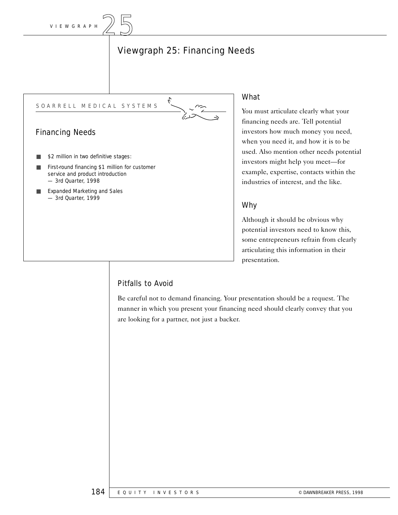

#### What

You must articulate clearly what your financing needs are. Tell potential investors how much money you need, when you need it, and how it is to be used. Also mention other needs potential investors might help you meet—for example, expertise, contacts within the industries of interest, and the like.

#### Why

Although it should be obvious why potential investors need to know this, some entrepreneurs refrain from clearly articulating this information in their presentation.

#### Pitfalls to Avoid

Be careful not to demand financing. Your presentation should be a request. The manner in which you present your financing need should clearly convey that you are looking for a partner, not just a backer.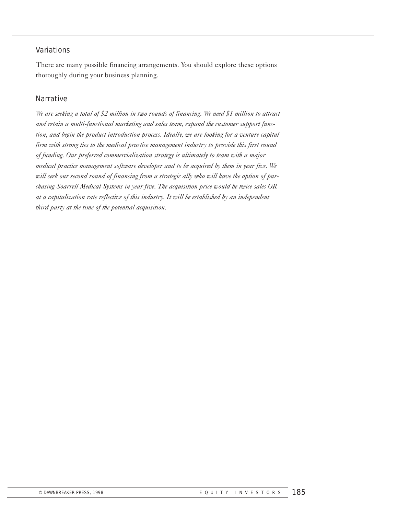#### **Variations**

There are many possible financing arrangements. You should explore these options thoroughly during your business planning.

#### **Narrative**

*We are seeking a total of \$2 million in two rounds of financing. We need \$1 million to attract and retain a multi-functional marketing and sales team, expand the customer support function, and begin the product introduction process. Ideally, we are looking for a venture capital firm with strong ties to the medical practice management industry to provide this first round of funding. Our preferred commercialization strategy is ultimately to team with a major medical practice management software developer and to be acquired by them in year five. We will seek our second round of financing from a strategic ally who will have the option of purchasing Soarrell Medical Systems in year five. The acquisition price would be twice sales OR at a capitalization rate reflective of this industry. It will be established by an independent third party at the time of the potential acquisition.*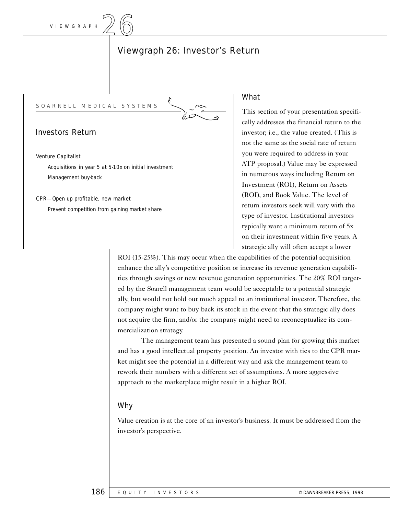#### Viewgraph 26: Investor's Return



#### Investors Return

#### Venture Capitalist

Acquisitions in year 5 at 5-10x on initial investment Management buy-back

#### CPR—Open up profitable, new market

Prevent competition from gaining market share

#### **What**

This section of your presentation specifically addresses the financial return to the investor; i.e., the value created. (This is not the same as the social rate of return you were required to address in your ATP proposal.) Value may be expressed in numerous ways including Return on Investment (ROI), Return on Assets (ROI), and Book Value. The level of return investors seek will vary with the type of investor. Institutional investors typically want a minimum return of 5x on their investment within five years. A strategic ally will often accept a lower

ROI (15-25%). This may occur when the capabilities of the potential acquisition enhance the ally's competitive position or increase its revenue generation capabilities through savings or new revenue generation opportunities. The 20% ROI targeted by the Soarell management team would be acceptable to a potential strategic ally, but would not hold out much appeal to an institutional investor. Therefore, the company might want to buy back its stock in the event that the strategic ally does not acquire the firm, and/or the company might need to reconceptualize its commercialization strategy.

The management team has presented a sound plan for growing this market and has a good intellectual property position. An investor with ties to the CPR market might see the potential in a different way and ask the management team to rework their numbers with a different set of assumptions. A more aggressive approach to the marketplace might result in a higher ROI.

#### Why

Value creation is at the core of an investor's business. It must be addressed from the investor's perspective.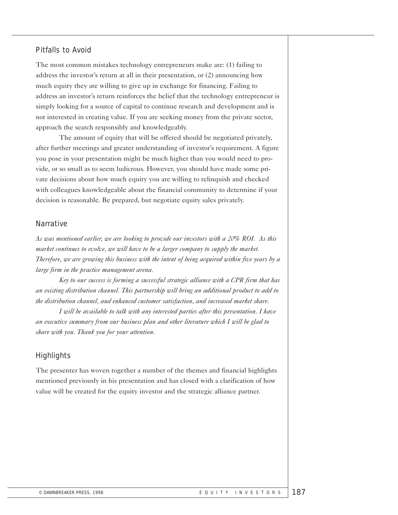#### Pitfalls to Avoid

The most common mistakes technology entrepreneurs make are: (1) failing to address the investor's return at all in their presentation, or (2) announcing how much equity they are willing to give up in exchange for financing. Failing to address an investor's return reinforces the belief that the technology entrepreneur is simply looking for a source of capital to continue research and development and is not interested in creating value. If you are seeking money from the private sector, approach the search responsibly and knowledgeably.

The amount of equity that will be offered should be negotiated privately, after further meetings and greater understanding of investor's requirement. A figure you pose in your presentation might be much higher than you would need to provide, or so small as to seem ludicrous. However, you should have made some private decisions about how much equity you are willing to relinquish and checked with colleagues knowledgeable about the financial community to determine if your decision is reasonable. Be prepared, but negotiate equity sales privately.

#### **Narrative**

*As was mentioned earlier, we are looking to provide our investors with a 20% ROI. As this market continues to evolve, we will have to be a larger company to supply the market. Therefore, we are growing this business with the intent of being acquired within five years by a large firm in the practice management arena.* 

*Key to our success is forming a successful strategic alliance with a CPR firm that has an existing distribution channel. This partnership will bring an additional product to add to the distribution channel, and enhanced customer satisfaction, and increased market share.* 

*I will be available to talk with any interested parties after this presentation. I have an executive summary from our business plan and other literature which I will be glad to share with you. Thank you for your attention.* 

#### **Highlights**

The presenter has woven together a number of the themes and financial highlights mentioned previously in his presentation and has closed with a clarification of how value will be created for the equity investor and the strategic alliance partner.